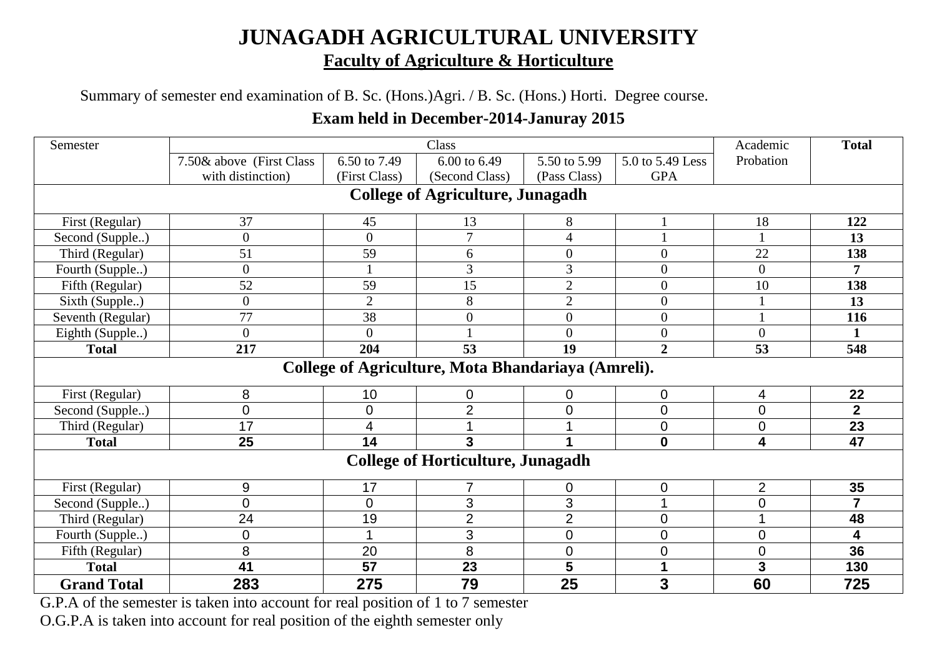## **JUNAGADH AGRICULTURAL UNIVERSITY Faculty of Agriculture & Horticulture**

### Summary of semester end examination of B. Sc. (Hons.)Agri. / B. Sc. (Hons.) Horti. Degree course.

#### **Exam held in December-2014-Januray 2015**

| Semester           |                                         |                | Class                                              |                  |                  | Academic       | <b>Total</b>   |  |  |  |
|--------------------|-----------------------------------------|----------------|----------------------------------------------------|------------------|------------------|----------------|----------------|--|--|--|
|                    | 7.50& above (First Class                | 6.50 to 7.49   | 6.00 to 6.49                                       | 5.50 to 5.99     | 5.0 to 5.49 Less | Probation      |                |  |  |  |
|                    | with distinction)                       | (First Class)  | (Second Class)                                     | (Pass Class)     | <b>GPA</b>       |                |                |  |  |  |
|                    | <b>College of Agriculture, Junagadh</b> |                |                                                    |                  |                  |                |                |  |  |  |
| First (Regular)    | 37                                      | 45             | 13                                                 | 8                |                  | 18             | 122            |  |  |  |
| Second (Supple)    | $\boldsymbol{0}$                        | $\overline{0}$ | $\overline{7}$                                     | $\overline{4}$   |                  |                | 13             |  |  |  |
| Third (Regular)    | 51                                      | 59             | 6                                                  | $\boldsymbol{0}$ | $\boldsymbol{0}$ | 22             | 138            |  |  |  |
| Fourth (Supple)    | $\boldsymbol{0}$                        |                | 3                                                  | 3                | $\boldsymbol{0}$ | $\overline{0}$ | 7              |  |  |  |
| Fifth (Regular)    | 52                                      | 59             | 15                                                 | $\overline{2}$   | $\boldsymbol{0}$ | 10             | 138            |  |  |  |
| Sixth (Supple)     | $\overline{0}$                          | $\overline{2}$ | 8                                                  | $\overline{2}$   | $\overline{0}$   |                | 13             |  |  |  |
| Seventh (Regular)  | 77                                      | 38             | $\overline{0}$                                     | $\overline{0}$   | $\boldsymbol{0}$ |                | 116            |  |  |  |
| Eighth (Supple)    | $\theta$                                | 0              |                                                    | $\overline{0}$   | $\boldsymbol{0}$ | $\overline{0}$ | 1              |  |  |  |
| <b>Total</b>       | 217                                     | 204            | 53                                                 | 19               | $\overline{2}$   | 53             | 548            |  |  |  |
|                    |                                         |                | College of Agriculture, Mota Bhandariaya (Amreli). |                  |                  |                |                |  |  |  |
| First (Regular)    | 8                                       | 10             | 0                                                  | 0                | $\mathbf 0$      | 4              | 22             |  |  |  |
| Second (Supple)    | $\overline{0}$                          | 0              | $\overline{2}$                                     | 0                | $\mathbf 0$      | $\overline{0}$ | $\overline{2}$ |  |  |  |
| Third (Regular)    | 17                                      | 4              |                                                    |                  | $\mathbf 0$      | $\overline{0}$ | 23             |  |  |  |
| <b>Total</b>       | 25                                      | 14             | 3                                                  |                  | $\mathbf 0$      | 4              | 47             |  |  |  |
|                    |                                         |                | <b>College of Horticulture, Junagadh</b>           |                  |                  |                |                |  |  |  |
| First (Regular)    | $\boldsymbol{9}$                        | 17             |                                                    | 0                | $\mathbf 0$      | $\overline{2}$ | 35             |  |  |  |
| Second (Supple)    | $\overline{0}$                          | $\overline{0}$ | 3                                                  | 3                | 1                | $\overline{0}$ | $\overline{7}$ |  |  |  |
| Third (Regular)    | 24                                      | 19             | $\overline{2}$                                     | $\overline{2}$   | $\mathbf 0$      | 1              | 48             |  |  |  |
| Fourth (Supple)    | $\mathbf 0$                             |                | 3                                                  | $\overline{0}$   | $\mathbf 0$      | $\overline{0}$ | 4              |  |  |  |
| Fifth (Regular)    | 8                                       | 20             | 8                                                  | $\overline{0}$   | $\boldsymbol{0}$ | $\overline{0}$ | 36             |  |  |  |
| <b>Total</b>       | 41                                      | 57             | 23                                                 | 5                | 1                | 3              | 130            |  |  |  |
| <b>Grand Total</b> | 283                                     | 275            | 79                                                 | 25               | $\mathbf{3}$     | 60             | 725            |  |  |  |

G.P.A of the semester is taken into account for real position of 1 to 7 semester

O.G.P.A is taken into account for real position of the eighth semester only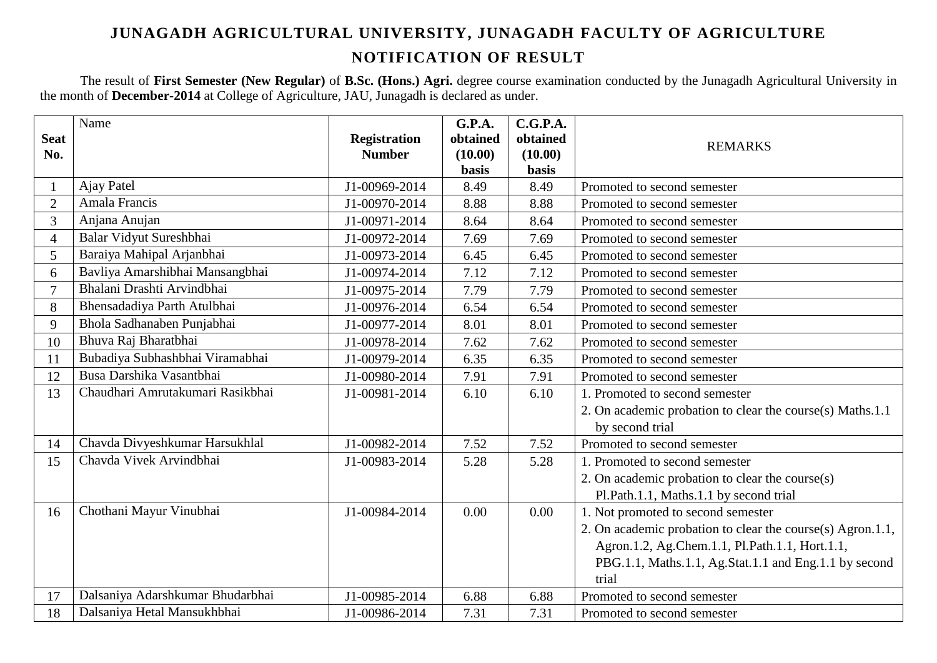### **JUNAGADH AGRICULTURAL UNIVERSITY, JUNAGADH FACULTY OF AGRICULTURE NOTIFICATION OF RESULT**

The result of **First Semester (New Regular)** of **B.Sc. (Hons.) Agri.** degree course examination conducted by the Junagadh Agricultural University in the month of **December-2014** at College of Agriculture, JAU, Junagadh is declared as under.

|                    | Name                             |                                      | <b>G.P.A.</b>       | C.G.P.A.            |                                                            |
|--------------------|----------------------------------|--------------------------------------|---------------------|---------------------|------------------------------------------------------------|
| <b>Seat</b><br>No. |                                  | <b>Registration</b><br><b>Number</b> | obtained<br>(10.00) | obtained<br>(10.00) | <b>REMARKS</b>                                             |
|                    |                                  |                                      | <b>basis</b>        | basis               |                                                            |
|                    | <b>Ajay Patel</b>                | J1-00969-2014                        | 8.49                | 8.49                | Promoted to second semester                                |
| $\overline{2}$     | Amala Francis                    | J1-00970-2014                        | 8.88                | 8.88                | Promoted to second semester                                |
| $\overline{3}$     | Anjana Anujan                    | J1-00971-2014                        | 8.64                | 8.64                | Promoted to second semester                                |
| $\overline{4}$     | Balar Vidyut Sureshbhai          | J1-00972-2014                        | 7.69                | 7.69                | Promoted to second semester                                |
| 5                  | Baraiya Mahipal Arjanbhai        | J1-00973-2014                        | 6.45                | 6.45                | Promoted to second semester                                |
| 6                  | Bavliya Amarshibhai Mansangbhai  | J1-00974-2014                        | 7.12                | 7.12                | Promoted to second semester                                |
| $\overline{7}$     | Bhalani Drashti Arvindbhai       | J1-00975-2014                        | 7.79                | 7.79                | Promoted to second semester                                |
| 8                  | Bhensadadiya Parth Atulbhai      | J1-00976-2014                        | 6.54                | 6.54                | Promoted to second semester                                |
| 9                  | Bhola Sadhanaben Punjabhai       | J1-00977-2014                        | 8.01                | 8.01                | Promoted to second semester                                |
| 10                 | Bhuva Raj Bharatbhai             | J1-00978-2014                        | 7.62                | 7.62                | Promoted to second semester                                |
| 11                 | Bubadiya Subhashbhai Viramabhai  | J1-00979-2014                        | 6.35                | 6.35                | Promoted to second semester                                |
| 12                 | Busa Darshika Vasantbhai         | J1-00980-2014                        | 7.91                | 7.91                | Promoted to second semester                                |
| 13                 | Chaudhari Amrutakumari Rasikbhai | J1-00981-2014                        | 6.10                | 6.10                | 1. Promoted to second semester                             |
|                    |                                  |                                      |                     |                     | 2. On academic probation to clear the course(s) Maths.1.1  |
|                    |                                  |                                      |                     |                     | by second trial                                            |
| 14                 | Chavda Divyeshkumar Harsukhlal   | J1-00982-2014                        | 7.52                | 7.52                | Promoted to second semester                                |
| 15                 | Chavda Vivek Arvindbhai          | J1-00983-2014                        | 5.28                | 5.28                | 1. Promoted to second semester                             |
|                    |                                  |                                      |                     |                     | 2. On academic probation to clear the course(s)            |
|                    |                                  |                                      |                     |                     | Pl.Path.1.1, Maths.1.1 by second trial                     |
| 16                 | Chothani Mayur Vinubhai          | J1-00984-2014                        | 0.00                | 0.00                | 1. Not promoted to second semester                         |
|                    |                                  |                                      |                     |                     | 2. On academic probation to clear the course(s) Agron.1.1, |
|                    |                                  |                                      |                     |                     | Agron.1.2, Ag.Chem.1.1, Pl.Path.1.1, Hort.1.1,             |
|                    |                                  |                                      |                     |                     | PBG.1.1, Maths.1.1, Ag.Stat.1.1 and Eng.1.1 by second      |
|                    |                                  |                                      |                     |                     | trial                                                      |
| 17                 | Dalsaniya Adarshkumar Bhudarbhai | J1-00985-2014                        | 6.88                | 6.88                | Promoted to second semester                                |
| 18                 | Dalsaniya Hetal Mansukhbhai      | J1-00986-2014                        | 7.31                | 7.31                | Promoted to second semester                                |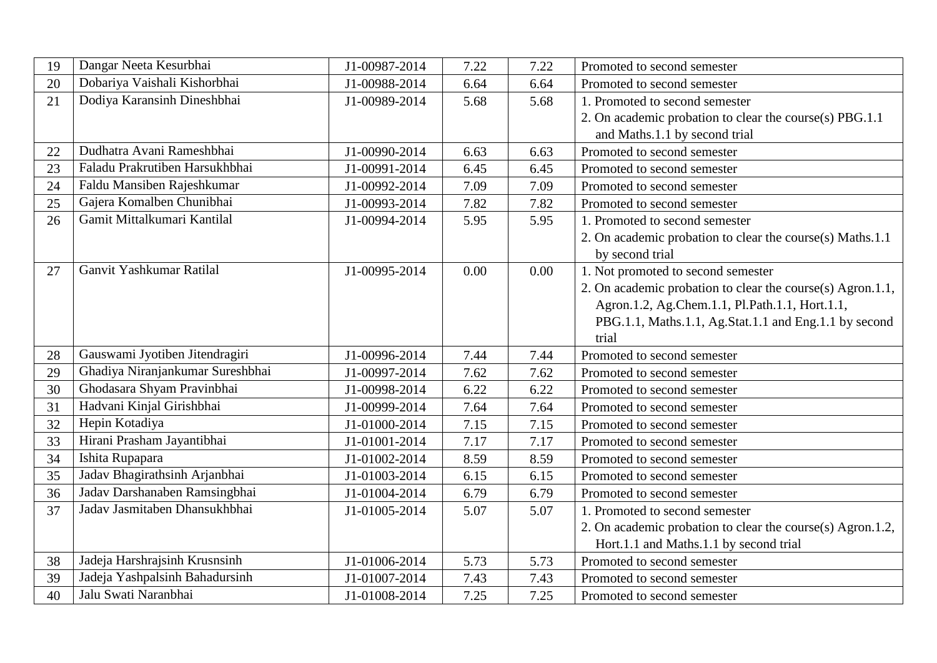| 19 | Dangar Neeta Kesurbhai           | J1-00987-2014 | 7.22 | 7.22 | Promoted to second semester                                |
|----|----------------------------------|---------------|------|------|------------------------------------------------------------|
| 20 | Dobariya Vaishali Kishorbhai     | J1-00988-2014 | 6.64 | 6.64 | Promoted to second semester                                |
| 21 | Dodiya Karansinh Dineshbhai      | J1-00989-2014 | 5.68 | 5.68 | 1. Promoted to second semester                             |
|    |                                  |               |      |      | 2. On academic probation to clear the course(s) PBG.1.1    |
|    |                                  |               |      |      | and Maths.1.1 by second trial                              |
| 22 | Dudhatra Avani Rameshbhai        | J1-00990-2014 | 6.63 | 6.63 | Promoted to second semester                                |
| 23 | Faladu Prakrutiben Harsukhbhai   | J1-00991-2014 | 6.45 | 6.45 | Promoted to second semester                                |
| 24 | Faldu Mansiben Rajeshkumar       | J1-00992-2014 | 7.09 | 7.09 | Promoted to second semester                                |
| 25 | Gajera Komalben Chunibhai        | J1-00993-2014 | 7.82 | 7.82 | Promoted to second semester                                |
| 26 | Gamit Mittalkumari Kantilal      | J1-00994-2014 | 5.95 | 5.95 | 1. Promoted to second semester                             |
|    |                                  |               |      |      | 2. On academic probation to clear the course(s) Maths.1.1  |
|    |                                  |               |      |      | by second trial                                            |
| 27 | Ganvit Yashkumar Ratilal         | J1-00995-2014 | 0.00 | 0.00 | 1. Not promoted to second semester                         |
|    |                                  |               |      |      | 2. On academic probation to clear the course(s) Agron.1.1, |
|    |                                  |               |      |      | Agron.1.2, Ag.Chem.1.1, Pl.Path.1.1, Hort.1.1,             |
|    |                                  |               |      |      | PBG.1.1, Maths.1.1, Ag.Stat.1.1 and Eng.1.1 by second      |
|    |                                  |               |      |      | trial                                                      |
| 28 | Gauswami Jyotiben Jitendragiri   | J1-00996-2014 | 7.44 | 7.44 | Promoted to second semester                                |
| 29 | Ghadiya Niranjankumar Sureshbhai | J1-00997-2014 | 7.62 | 7.62 | Promoted to second semester                                |
| 30 | Ghodasara Shyam Pravinbhai       | J1-00998-2014 | 6.22 | 6.22 | Promoted to second semester                                |
| 31 | Hadvani Kinjal Girishbhai        | J1-00999-2014 | 7.64 | 7.64 | Promoted to second semester                                |
| 32 | Hepin Kotadiya                   | J1-01000-2014 | 7.15 | 7.15 | Promoted to second semester                                |
| 33 | Hirani Prasham Jayantibhai       | J1-01001-2014 | 7.17 | 7.17 | Promoted to second semester                                |
| 34 | Ishita Rupapara                  | J1-01002-2014 | 8.59 | 8.59 | Promoted to second semester                                |
| 35 | Jadav Bhagirathsinh Arjanbhai    | J1-01003-2014 | 6.15 | 6.15 | Promoted to second semester                                |
| 36 | Jadav Darshanaben Ramsingbhai    | J1-01004-2014 | 6.79 | 6.79 | Promoted to second semester                                |
| 37 | Jadav Jasmitaben Dhansukhbhai    | J1-01005-2014 | 5.07 | 5.07 | 1. Promoted to second semester                             |
|    |                                  |               |      |      | 2. On academic probation to clear the course(s) Agron.1.2, |
|    |                                  |               |      |      | Hort.1.1 and Maths.1.1 by second trial                     |
| 38 | Jadeja Harshrajsinh Krusnsinh    | J1-01006-2014 | 5.73 | 5.73 | Promoted to second semester                                |
| 39 | Jadeja Yashpalsinh Bahadursinh   | J1-01007-2014 | 7.43 | 7.43 | Promoted to second semester                                |
| 40 | Jalu Swati Naranbhai             | J1-01008-2014 | 7.25 | 7.25 | Promoted to second semester                                |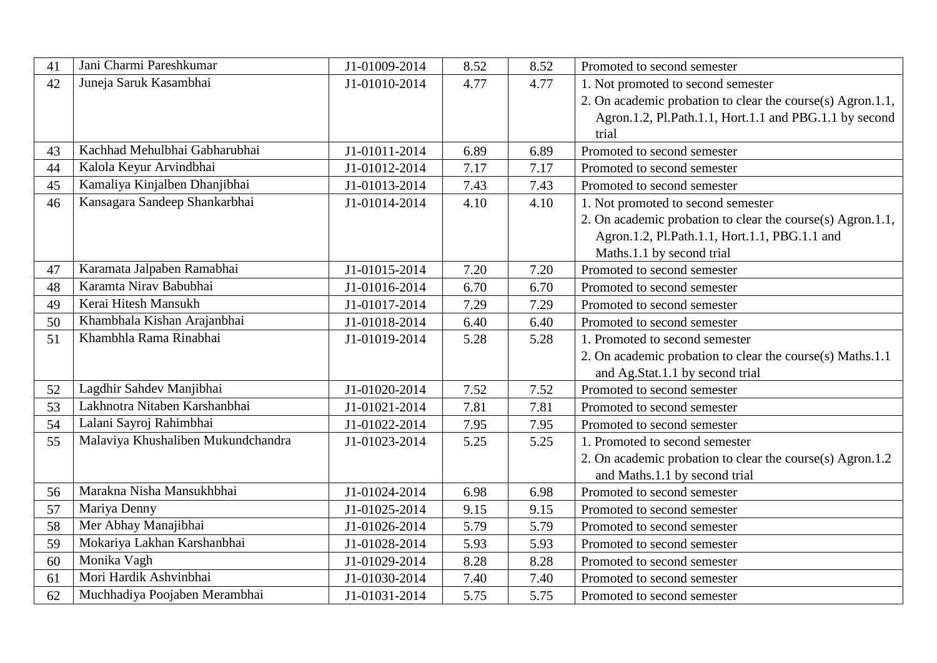| 41 | Jani Charmi Pareshkumar            | J1-01009-2014 | 8.52 | 8.52 | Promoted to second semester                                |
|----|------------------------------------|---------------|------|------|------------------------------------------------------------|
| 42 | Juneja Saruk Kasambhai             | J1-01010-2014 | 4.77 | 4.77 | 1. Not promoted to second semester                         |
|    |                                    |               |      |      | 2. On academic probation to clear the course(s) Agron.1.1, |
|    |                                    |               |      |      | Agron.1.2, Pl.Path.1.1, Hort.1.1 and PBG.1.1 by second     |
|    |                                    |               |      |      | trial                                                      |
| 43 | Kachhad Mehulbhai Gabharubhai      | J1-01011-2014 | 6.89 | 6.89 | Promoted to second semester                                |
| 44 | Kalola Keyur Arvindbhai            | J1-01012-2014 | 7.17 | 7.17 | Promoted to second semester                                |
| 45 | Kamaliya Kinjalben Dhanjibhai      | J1-01013-2014 | 7.43 | 7.43 | Promoted to second semester                                |
| 46 | Kansagara Sandeep Shankarbhai      | J1-01014-2014 | 4.10 | 4.10 | 1. Not promoted to second semester                         |
|    |                                    |               |      |      | 2. On academic probation to clear the course(s) Agron.1.1, |
|    |                                    |               |      |      | Agron.1.2, Pl.Path.1.1, Hort.1.1, PBG.1.1 and              |
|    |                                    |               |      |      | Maths.1.1 by second trial                                  |
| 47 | Karamata Jalpaben Ramabhai         | J1-01015-2014 | 7.20 | 7.20 | Promoted to second semester                                |
| 48 | Karamta Nirav Babubhai             | J1-01016-2014 | 6.70 | 6.70 | Promoted to second semester                                |
| 49 | Kerai Hitesh Mansukh               | J1-01017-2014 | 7.29 | 7.29 | Promoted to second semester                                |
| 50 | Khambhala Kishan Arajanbhai        | J1-01018-2014 | 6.40 | 6.40 | Promoted to second semester                                |
| 51 | Khambhla Rama Rinabhai             | J1-01019-2014 | 5.28 | 5.28 | 1. Promoted to second semester                             |
|    |                                    |               |      |      | 2. On academic probation to clear the course(s) Maths.1.1  |
|    |                                    |               |      |      | and Ag.Stat.1.1 by second trial                            |
| 52 | Lagdhir Sahdev Manjibhai           | J1-01020-2014 | 7.52 | 7.52 | Promoted to second semester                                |
| 53 | Lakhnotra Nitaben Karshanbhai      | J1-01021-2014 | 7.81 | 7.81 | Promoted to second semester                                |
| 54 | Lalani Sayroj Rahimbhai            | J1-01022-2014 | 7.95 | 7.95 | Promoted to second semester                                |
| 55 | Malaviya Khushaliben Mukundchandra | J1-01023-2014 | 5.25 | 5.25 | 1. Promoted to second semester                             |
|    |                                    |               |      |      | 2. On academic probation to clear the course(s) Agron.1.2  |
|    |                                    |               |      |      | and Maths.1.1 by second trial                              |
| 56 | Marakna Nisha Mansukhbhai          | J1-01024-2014 | 6.98 | 6.98 | Promoted to second semester                                |
| 57 | Mariya Denny                       | J1-01025-2014 | 9.15 | 9.15 | Promoted to second semester                                |
| 58 | Mer Abhay Manajibhai               | J1-01026-2014 | 5.79 | 5.79 | Promoted to second semester                                |
| 59 | Mokariya Lakhan Karshanbhai        | J1-01028-2014 | 5.93 | 5.93 | Promoted to second semester                                |
| 60 | Monika Vagh                        | J1-01029-2014 | 8.28 | 8.28 | Promoted to second semester                                |
| 61 | Mori Hardik Ashvinbhai             | J1-01030-2014 | 7.40 | 7.40 | Promoted to second semester                                |
| 62 | Muchhadiya Poojaben Merambhai      | J1-01031-2014 | 5.75 | 5.75 | Promoted to second semester                                |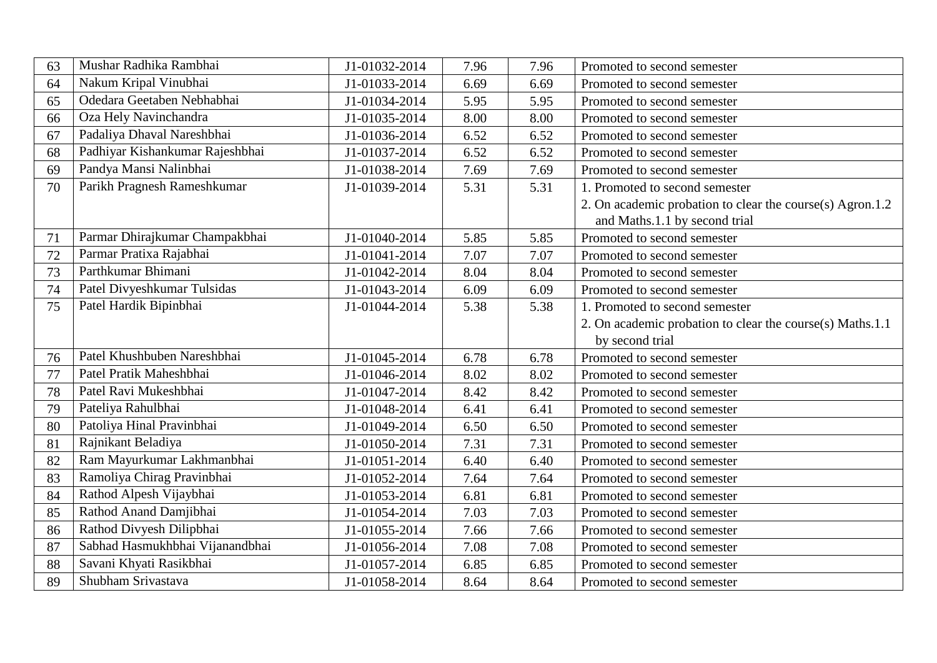| 63 | Mushar Radhika Rambhai          | J1-01032-2014 | 7.96 | 7.96 | Promoted to second semester                               |
|----|---------------------------------|---------------|------|------|-----------------------------------------------------------|
| 64 | Nakum Kripal Vinubhai           | J1-01033-2014 | 6.69 | 6.69 | Promoted to second semester                               |
| 65 | Odedara Geetaben Nebhabhai      | J1-01034-2014 | 5.95 | 5.95 | Promoted to second semester                               |
| 66 | Oza Hely Navinchandra           | J1-01035-2014 | 8.00 | 8.00 | Promoted to second semester                               |
| 67 | Padaliya Dhaval Nareshbhai      | J1-01036-2014 | 6.52 | 6.52 | Promoted to second semester                               |
| 68 | Padhiyar Kishankumar Rajeshbhai | J1-01037-2014 | 6.52 | 6.52 | Promoted to second semester                               |
| 69 | Pandya Mansi Nalinbhai          | J1-01038-2014 | 7.69 | 7.69 | Promoted to second semester                               |
| 70 | Parikh Pragnesh Rameshkumar     | J1-01039-2014 | 5.31 | 5.31 | 1. Promoted to second semester                            |
|    |                                 |               |      |      | 2. On academic probation to clear the course(s) Agron.1.2 |
|    |                                 |               |      |      | and Maths.1.1 by second trial                             |
| 71 | Parmar Dhirajkumar Champakbhai  | J1-01040-2014 | 5.85 | 5.85 | Promoted to second semester                               |
| 72 | Parmar Pratixa Rajabhai         | J1-01041-2014 | 7.07 | 7.07 | Promoted to second semester                               |
| 73 | Parthkumar Bhimani              | J1-01042-2014 | 8.04 | 8.04 | Promoted to second semester                               |
| 74 | Patel Divyeshkumar Tulsidas     | J1-01043-2014 | 6.09 | 6.09 | Promoted to second semester                               |
| 75 | Patel Hardik Bipinbhai          | J1-01044-2014 | 5.38 | 5.38 | 1. Promoted to second semester                            |
|    |                                 |               |      |      | 2. On academic probation to clear the course(s) Maths.1.1 |
|    |                                 |               |      |      | by second trial                                           |
| 76 | Patel Khushbuben Nareshbhai     | J1-01045-2014 | 6.78 | 6.78 | Promoted to second semester                               |
| 77 | Patel Pratik Maheshbhai         | J1-01046-2014 | 8.02 | 8.02 | Promoted to second semester                               |
| 78 | Patel Ravi Mukeshbhai           | J1-01047-2014 | 8.42 | 8.42 | Promoted to second semester                               |
| 79 | Pateliya Rahulbhai              | J1-01048-2014 | 6.41 | 6.41 | Promoted to second semester                               |
| 80 | Patoliya Hinal Pravinbhai       | J1-01049-2014 | 6.50 | 6.50 | Promoted to second semester                               |
| 81 | Rajnikant Beladiya              | J1-01050-2014 | 7.31 | 7.31 | Promoted to second semester                               |
| 82 | Ram Mayurkumar Lakhmanbhai      | J1-01051-2014 | 6.40 | 6.40 | Promoted to second semester                               |
| 83 | Ramoliya Chirag Pravinbhai      | J1-01052-2014 | 7.64 | 7.64 | Promoted to second semester                               |
| 84 | Rathod Alpesh Vijaybhai         | J1-01053-2014 | 6.81 | 6.81 | Promoted to second semester                               |
| 85 | Rathod Anand Damjibhai          | J1-01054-2014 | 7.03 | 7.03 | Promoted to second semester                               |
| 86 | Rathod Divyesh Dilipbhai        | J1-01055-2014 | 7.66 | 7.66 | Promoted to second semester                               |
| 87 | Sabhad Hasmukhbhai Vijanandbhai | J1-01056-2014 | 7.08 | 7.08 | Promoted to second semester                               |
| 88 | Savani Khyati Rasikbhai         | J1-01057-2014 | 6.85 | 6.85 | Promoted to second semester                               |
| 89 | Shubham Srivastava              | J1-01058-2014 | 8.64 | 8.64 | Promoted to second semester                               |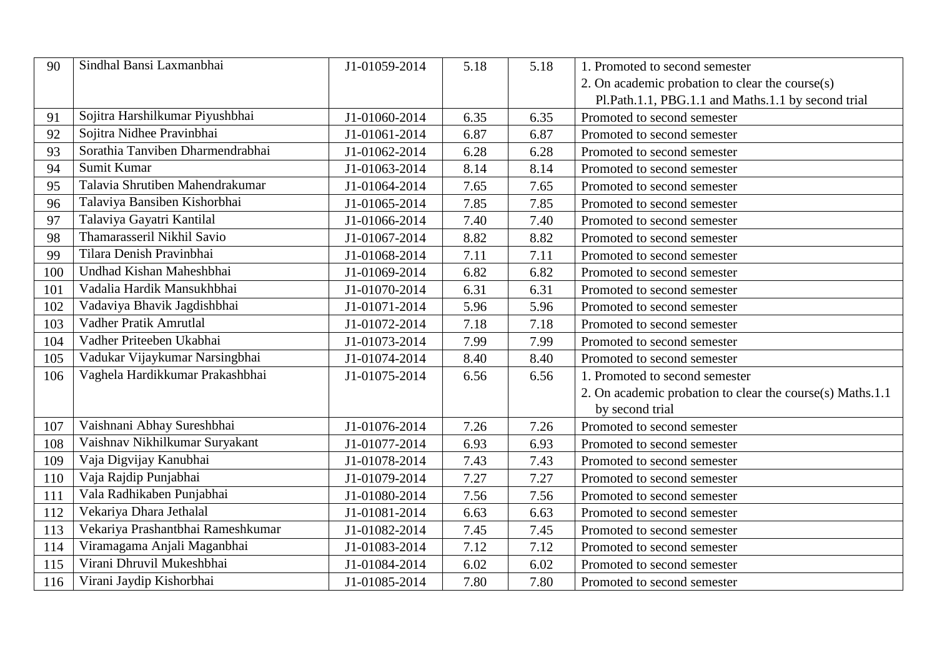| 90  | Sindhal Bansi Laxmanbhai          | J1-01059-2014 | 5.18 | 5.18 | 1. Promoted to second semester                            |
|-----|-----------------------------------|---------------|------|------|-----------------------------------------------------------|
|     |                                   |               |      |      | 2. On academic probation to clear the course(s)           |
|     |                                   |               |      |      | Pl.Path.1.1, PBG.1.1 and Maths.1.1 by second trial        |
| 91  | Sojitra Harshilkumar Piyushbhai   | J1-01060-2014 | 6.35 | 6.35 | Promoted to second semester                               |
| 92  | Sojitra Nidhee Pravinbhai         | J1-01061-2014 | 6.87 | 6.87 | Promoted to second semester                               |
| 93  | Sorathia Tanviben Dharmendrabhai  | J1-01062-2014 | 6.28 | 6.28 | Promoted to second semester                               |
| 94  | Sumit Kumar                       | J1-01063-2014 | 8.14 | 8.14 | Promoted to second semester                               |
| 95  | Talavia Shrutiben Mahendrakumar   | J1-01064-2014 | 7.65 | 7.65 | Promoted to second semester                               |
| 96  | Talaviya Bansiben Kishorbhai      | J1-01065-2014 | 7.85 | 7.85 | Promoted to second semester                               |
| 97  | Talaviya Gayatri Kantilal         | J1-01066-2014 | 7.40 | 7.40 | Promoted to second semester                               |
| 98  | Thamarasseril Nikhil Savio        | J1-01067-2014 | 8.82 | 8.82 | Promoted to second semester                               |
| 99  | Tilara Denish Pravinbhai          | J1-01068-2014 | 7.11 | 7.11 | Promoted to second semester                               |
| 100 | Undhad Kishan Maheshbhai          | J1-01069-2014 | 6.82 | 6.82 | Promoted to second semester                               |
| 101 | Vadalia Hardik Mansukhbhai        | J1-01070-2014 | 6.31 | 6.31 | Promoted to second semester                               |
| 102 | Vadaviya Bhavik Jagdishbhai       | J1-01071-2014 | 5.96 | 5.96 | Promoted to second semester                               |
| 103 | Vadher Pratik Amrutlal            | J1-01072-2014 | 7.18 | 7.18 | Promoted to second semester                               |
| 104 | Vadher Priteeben Ukabhai          | J1-01073-2014 | 7.99 | 7.99 | Promoted to second semester                               |
| 105 | Vadukar Vijaykumar Narsingbhai    | J1-01074-2014 | 8.40 | 8.40 | Promoted to second semester                               |
| 106 | Vaghela Hardikkumar Prakashbhai   | J1-01075-2014 | 6.56 | 6.56 | 1. Promoted to second semester                            |
|     |                                   |               |      |      | 2. On academic probation to clear the course(s) Maths.1.1 |
|     |                                   |               |      |      | by second trial                                           |
| 107 | Vaishnani Abhay Sureshbhai        | J1-01076-2014 | 7.26 | 7.26 | Promoted to second semester                               |
| 108 | Vaishnav Nikhilkumar Suryakant    | J1-01077-2014 | 6.93 | 6.93 | Promoted to second semester                               |
| 109 | Vaja Digvijay Kanubhai            | J1-01078-2014 | 7.43 | 7.43 | Promoted to second semester                               |
| 110 | Vaja Rajdip Punjabhai             | J1-01079-2014 | 7.27 | 7.27 | Promoted to second semester                               |
| 111 | Vala Radhikaben Punjabhai         | J1-01080-2014 | 7.56 | 7.56 | Promoted to second semester                               |
| 112 | Vekariya Dhara Jethalal           | J1-01081-2014 | 6.63 | 6.63 | Promoted to second semester                               |
| 113 | Vekariya Prashantbhai Rameshkumar | J1-01082-2014 | 7.45 | 7.45 | Promoted to second semester                               |
| 114 | Viramagama Anjali Maganbhai       | J1-01083-2014 | 7.12 | 7.12 | Promoted to second semester                               |
| 115 | Virani Dhruvil Mukeshbhai         | J1-01084-2014 | 6.02 | 6.02 | Promoted to second semester                               |
| 116 | Virani Jaydip Kishorbhai          | J1-01085-2014 | 7.80 | 7.80 | Promoted to second semester                               |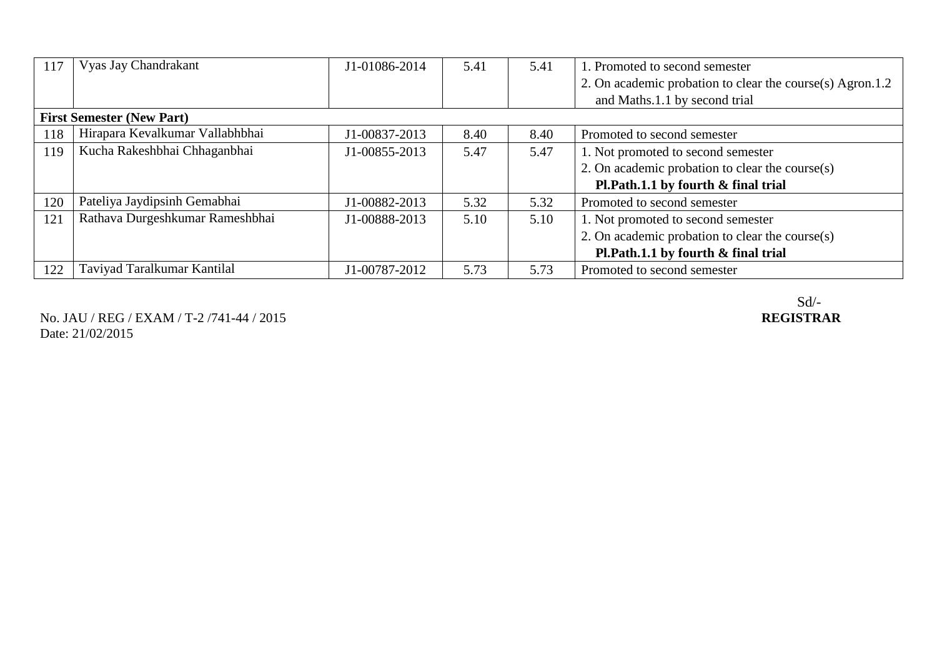| 117 | Vyas Jay Chandrakant             | J1-01086-2014 | 5.41 | 5.41 | 1. Promoted to second semester                            |
|-----|----------------------------------|---------------|------|------|-----------------------------------------------------------|
|     |                                  |               |      |      | 2. On academic probation to clear the course(s) Agron.1.2 |
|     |                                  |               |      |      | and Maths.1.1 by second trial                             |
|     | <b>First Semester (New Part)</b> |               |      |      |                                                           |
| 118 | Hirapara Kevalkumar Vallabhbhai  | J1-00837-2013 | 8.40 | 8.40 | Promoted to second semester                               |
| 119 | Kucha Rakeshbhai Chhaganbhai     | J1-00855-2013 | 5.47 | 5.47 | 1. Not promoted to second semester                        |
|     |                                  |               |      |      | 2. On academic probation to clear the course $(s)$        |
|     |                                  |               |      |      | Pl.Path.1.1 by fourth & final trial                       |
| 120 | Pateliya Jaydipsinh Gemabhai     | J1-00882-2013 | 5.32 | 5.32 | Promoted to second semester                               |
| 121 | Rathava Durgeshkumar Rameshbhai  | J1-00888-2013 | 5.10 | 5.10 | 1. Not promoted to second semester                        |
|     |                                  |               |      |      | 2. On academic probation to clear the course $(s)$        |
|     |                                  |               |      |      | Pl.Path.1.1 by fourth & final trial                       |
| 122 | Taviyad Taralkumar Kantilal      | J1-00787-2012 | 5.73 | 5.73 | Promoted to second semester                               |

No. JAU / REG / EXAM / T-2 /741-44 / 2015 Date: 21/02/2015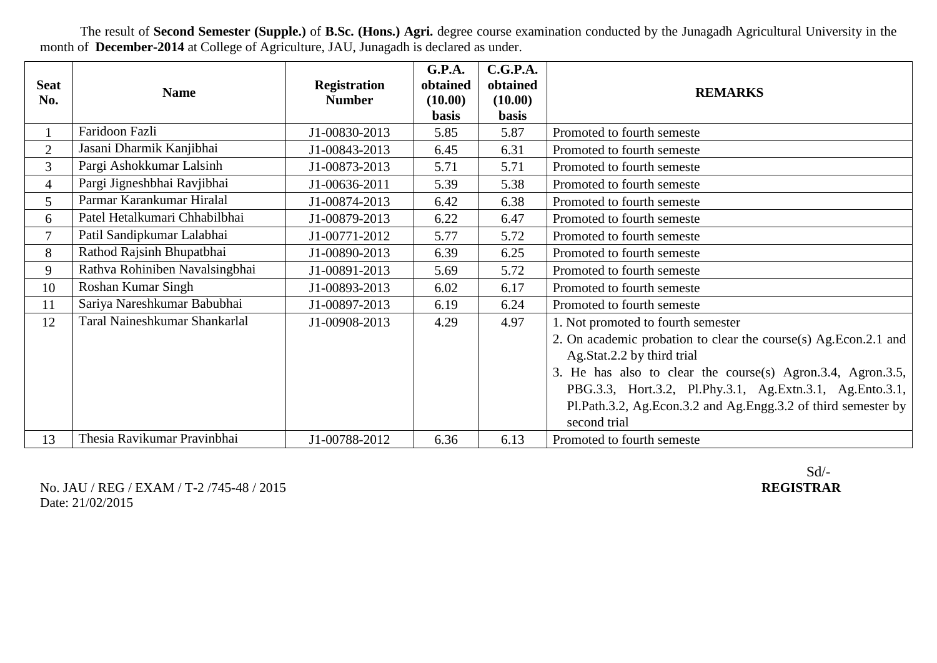**Seat**  Next Registration<br>No. **Name** Registration **Registration Number G.P.A. obtained (10.00) basis C.G.P.A. obtained (10.00) basis REMARKS** 1 | Faridoon Fazli | J1-00830-2013 | 5.85 | 5.87 | Promoted to fourth semeste 2 Jasani Dharmik Kanjibhai J1-00843-2013 6.45 6.31 Promoted to fourth semeste 3 Pargi Ashokkumar Lalsinh J1-00873-2013 5.71 5.71 Promoted to fourth semeste 4 Pargi Jigneshbhai Ravjibhai J1-00636-2011 5.39 5.38 Promoted to fourth semeste 5 Parmar Karankumar Hiralal J1-00874-2013 6.42 6.38 Promoted to fourth semeste 6 Patel Hetalkumari Chhabilbhai J1-00879-2013 6.22 6.47 Promoted to fourth semeste 7 Patil Sandipkumar Lalabhai J1-00771-2012 5.77 5.72 Promoted to fourth semeste 8 Rathod Rajsinh Bhupatbhai 11-00890-2013 6.39 6.25 Promoted to fourth semeste 9 Rathva Rohiniben Navalsingbhai J1-00891-2013 5.69 5.72 Promoted to fourth semeste 10 Roshan Kumar Singh 11-00893-2013 6.02 6.17 Promoted to fourth semeste 11 Sariya Nareshkumar Babubhai J1-00897-2013 6.19 6.24 Promoted to fourth semeste 12 Taral Naineshkumar Shankarlal J1-00908-2013 4.29 4.97 1. Not promoted to fourth semester 2. On academic probation to clear the course(s) Ag.Econ.2.1 and Ag.Stat.2.2 by third trial 3. He has also to clear the course(s) Agron.3.4, Agron.3.5, PBG.3.3, Hort.3.2, Pl.Phy.3.1, Ag.Extn.3.1, Ag.Ento.3.1, Pl.Path.3.2, Ag.Econ.3.2 and Ag.Engg.3.2 of third semester by second trial 13 Thesia Ravikumar Pravinbhai J1-00788-2012 6.36 6.13 Promoted to fourth semeste

The result of **Second Semester (Supple.)** of **B.Sc. (Hons.) Agri.** degree course examination conducted by the Junagadh Agricultural University in the month of **December-2014** at College of Agriculture, JAU, Junagadh is declared as under.

No. JAU / REG / EXAM / T-2 /745-48 / 2015 **REGISTRAR** Date: 21/02/2015

Sd/-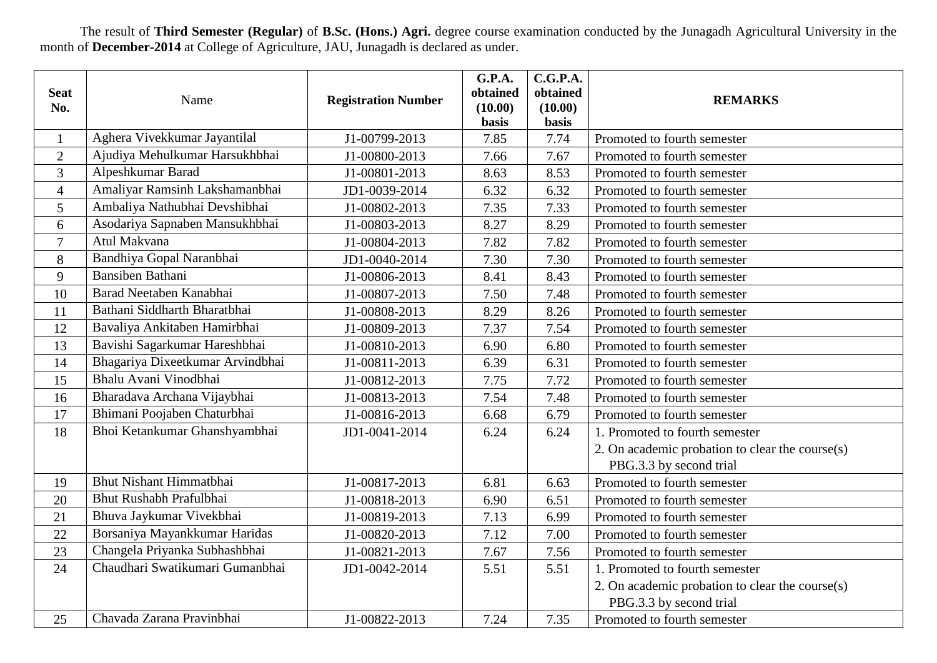The result of **Third Semester (Regular)** of **B.Sc. (Hons.) Agri.** degree course examination conducted by the Junagadh Agricultural University in the month of **December-2014** at College of Agriculture, JAU, Junagadh is declared as under.

| <b>Seat</b><br>No. | Name                             | <b>Registration Number</b> | G.P.A.<br>obtained<br>(10.00) | C.G.P.A.<br>obtained<br>(10.00) | <b>REMARKS</b>                                  |
|--------------------|----------------------------------|----------------------------|-------------------------------|---------------------------------|-------------------------------------------------|
|                    |                                  |                            | basis                         | basis                           |                                                 |
| $\mathbf{1}$       | Aghera Vivekkumar Jayantilal     | J1-00799-2013              | 7.85                          | 7.74                            | Promoted to fourth semester                     |
| $\overline{2}$     | Ajudiya Mehulkumar Harsukhbhai   | J1-00800-2013              | 7.66                          | 7.67                            | Promoted to fourth semester                     |
| 3                  | Alpeshkumar Barad                | J1-00801-2013              | 8.63                          | 8.53                            | Promoted to fourth semester                     |
| $\overline{4}$     | Amaliyar Ramsinh Lakshamanbhai   | JD1-0039-2014              | 6.32                          | 6.32                            | Promoted to fourth semester                     |
| 5                  | Ambaliya Nathubhai Devshibhai    | J1-00802-2013              | 7.35                          | 7.33                            | Promoted to fourth semester                     |
| 6                  | Asodariya Sapnaben Mansukhbhai   | J1-00803-2013              | 8.27                          | 8.29                            | Promoted to fourth semester                     |
| $\overline{7}$     | Atul Makvana                     | J1-00804-2013              | 7.82                          | 7.82                            | Promoted to fourth semester                     |
| 8                  | Bandhiya Gopal Naranbhai         | JD1-0040-2014              | 7.30                          | 7.30                            | Promoted to fourth semester                     |
| 9                  | Bansiben Bathani                 | J1-00806-2013              | 8.41                          | 8.43                            | Promoted to fourth semester                     |
| 10                 | Barad Neetaben Kanabhai          | J1-00807-2013              | 7.50                          | 7.48                            | Promoted to fourth semester                     |
| 11                 | Bathani Siddharth Bharatbhai     | J1-00808-2013              | 8.29                          | 8.26                            | Promoted to fourth semester                     |
| 12                 | Bavaliya Ankitaben Hamirbhai     | J1-00809-2013              | 7.37                          | 7.54                            | Promoted to fourth semester                     |
| 13                 | Bavishi Sagarkumar Hareshbhai    | J1-00810-2013              | 6.90                          | 6.80                            | Promoted to fourth semester                     |
| 14                 | Bhagariya Dixeetkumar Arvindbhai | J1-00811-2013              | 6.39                          | 6.31                            | Promoted to fourth semester                     |
| 15                 | Bhalu Avani Vinodbhai            | J1-00812-2013              | 7.75                          | 7.72                            | Promoted to fourth semester                     |
| 16                 | Bharadava Archana Vijaybhai      | J1-00813-2013              | 7.54                          | 7.48                            | Promoted to fourth semester                     |
| 17                 | Bhimani Poojaben Chaturbhai      | J1-00816-2013              | 6.68                          | 6.79                            | Promoted to fourth semester                     |
| 18                 | Bhoi Ketankumar Ghanshyambhai    | JD1-0041-2014              | 6.24                          | 6.24                            | 1. Promoted to fourth semester                  |
|                    |                                  |                            |                               |                                 | 2. On academic probation to clear the course(s) |
|                    |                                  |                            |                               |                                 | PBG.3.3 by second trial                         |
| 19                 | <b>Bhut Nishant Himmatbhai</b>   | J1-00817-2013              | 6.81                          | 6.63                            | Promoted to fourth semester                     |
| 20                 | <b>Bhut Rushabh Prafulbhai</b>   | J1-00818-2013              | 6.90                          | 6.51                            | Promoted to fourth semester                     |
| 21                 | Bhuva Jaykumar Vivekbhai         | J1-00819-2013              | 7.13                          | 6.99                            | Promoted to fourth semester                     |
| 22                 | Borsaniya Mayankkumar Haridas    | J1-00820-2013              | 7.12                          | 7.00                            | Promoted to fourth semester                     |
| 23                 | Changela Priyanka Subhashbhai    | J1-00821-2013              | 7.67                          | 7.56                            | Promoted to fourth semester                     |
| 24                 | Chaudhari Swatikumari Gumanbhai  | JD1-0042-2014              | 5.51                          | 5.51                            | 1. Promoted to fourth semester                  |
|                    |                                  |                            |                               |                                 | 2. On academic probation to clear the course(s) |
|                    |                                  |                            |                               |                                 | PBG.3.3 by second trial                         |
| 25                 | Chavada Zarana Pravinbhai        | J1-00822-2013              | 7.24                          | 7.35                            | Promoted to fourth semester                     |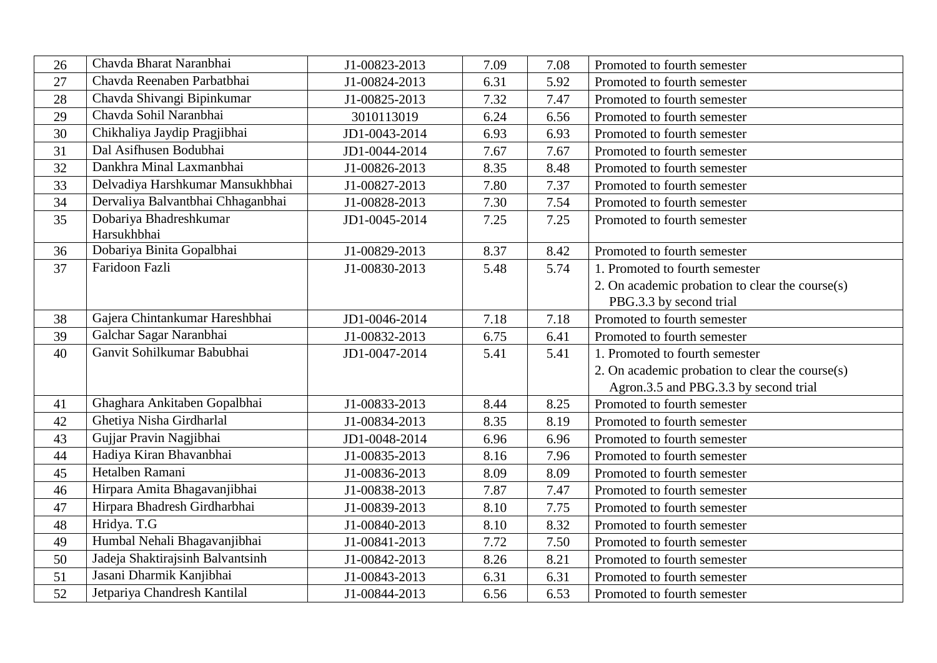| 26 | Chavda Bharat Naranbhai               | J1-00823-2013 | 7.09 | 7.08 | Promoted to fourth semester                     |
|----|---------------------------------------|---------------|------|------|-------------------------------------------------|
| 27 | Chavda Reenaben Parbatbhai            | J1-00824-2013 | 6.31 | 5.92 | Promoted to fourth semester                     |
| 28 | Chavda Shivangi Bipinkumar            | J1-00825-2013 | 7.32 | 7.47 | Promoted to fourth semester                     |
| 29 | Chavda Sohil Naranbhai                | 3010113019    | 6.24 | 6.56 | Promoted to fourth semester                     |
| 30 | Chikhaliya Jaydip Pragjibhai          | JD1-0043-2014 | 6.93 | 6.93 | Promoted to fourth semester                     |
| 31 | Dal Asifhusen Bodubhai                | JD1-0044-2014 | 7.67 | 7.67 | Promoted to fourth semester                     |
| 32 | Dankhra Minal Laxmanbhai              | J1-00826-2013 | 8.35 | 8.48 | Promoted to fourth semester                     |
| 33 | Delvadiya Harshkumar Mansukhbhai      | J1-00827-2013 | 7.80 | 7.37 | Promoted to fourth semester                     |
| 34 | Dervaliya Balvantbhai Chhaganbhai     | J1-00828-2013 | 7.30 | 7.54 | Promoted to fourth semester                     |
| 35 | Dobariya Bhadreshkumar<br>Harsukhbhai | JD1-0045-2014 | 7.25 | 7.25 | Promoted to fourth semester                     |
| 36 | Dobariya Binita Gopalbhai             | J1-00829-2013 | 8.37 | 8.42 | Promoted to fourth semester                     |
| 37 | Faridoon Fazli                        | J1-00830-2013 | 5.48 | 5.74 | 1. Promoted to fourth semester                  |
|    |                                       |               |      |      | 2. On academic probation to clear the course(s) |
|    |                                       |               |      |      | PBG.3.3 by second trial                         |
| 38 | Gajera Chintankumar Hareshbhai        | JD1-0046-2014 | 7.18 | 7.18 | Promoted to fourth semester                     |
| 39 | Galchar Sagar Naranbhai               | J1-00832-2013 | 6.75 | 6.41 | Promoted to fourth semester                     |
| 40 | Ganvit Sohilkumar Babubhai            | JD1-0047-2014 | 5.41 | 5.41 | 1. Promoted to fourth semester                  |
|    |                                       |               |      |      | 2. On academic probation to clear the course(s) |
|    |                                       |               |      |      | Agron.3.5 and PBG.3.3 by second trial           |
| 41 | Ghaghara Ankitaben Gopalbhai          | J1-00833-2013 | 8.44 | 8.25 | Promoted to fourth semester                     |
| 42 | Ghetiya Nisha Girdharlal              | J1-00834-2013 | 8.35 | 8.19 | Promoted to fourth semester                     |
| 43 | Gujjar Pravin Nagjibhai               | JD1-0048-2014 | 6.96 | 6.96 | Promoted to fourth semester                     |
| 44 | Hadiya Kiran Bhavanbhai               | J1-00835-2013 | 8.16 | 7.96 | Promoted to fourth semester                     |
| 45 | Hetalben Ramani                       | J1-00836-2013 | 8.09 | 8.09 | Promoted to fourth semester                     |
| 46 | Hirpara Amita Bhagavanjibhai          | J1-00838-2013 | 7.87 | 7.47 | Promoted to fourth semester                     |
| 47 | Hirpara Bhadresh Girdharbhai          | J1-00839-2013 | 8.10 | 7.75 | Promoted to fourth semester                     |
| 48 | Hridya. T.G                           | J1-00840-2013 | 8.10 | 8.32 | Promoted to fourth semester                     |
| 49 | Humbal Nehali Bhagavanjibhai          | J1-00841-2013 | 7.72 | 7.50 | Promoted to fourth semester                     |
| 50 | Jadeja Shaktirajsinh Balvantsinh      | J1-00842-2013 | 8.26 | 8.21 | Promoted to fourth semester                     |
| 51 | Jasani Dharmik Kanjibhai              | J1-00843-2013 | 6.31 | 6.31 | Promoted to fourth semester                     |
| 52 | Jetpariya Chandresh Kantilal          | J1-00844-2013 | 6.56 | 6.53 | Promoted to fourth semester                     |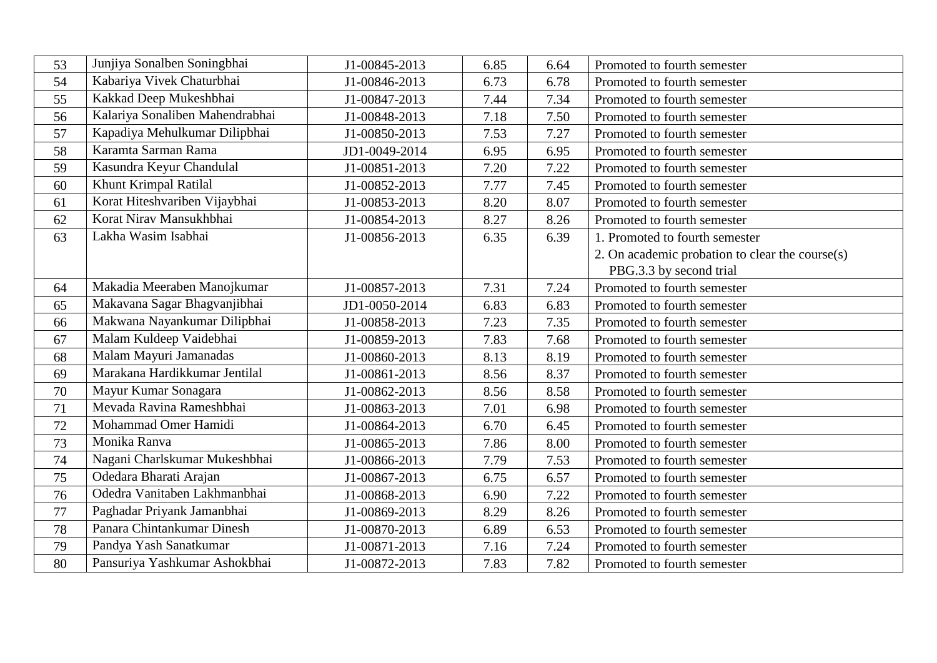| 53 | Junjiya Sonalben Soningbhai     | J1-00845-2013 | 6.85 | 6.64 | Promoted to fourth semester                     |
|----|---------------------------------|---------------|------|------|-------------------------------------------------|
| 54 | Kabariya Vivek Chaturbhai       | J1-00846-2013 | 6.73 | 6.78 | Promoted to fourth semester                     |
| 55 | Kakkad Deep Mukeshbhai          | J1-00847-2013 | 7.44 | 7.34 | Promoted to fourth semester                     |
| 56 | Kalariya Sonaliben Mahendrabhai | J1-00848-2013 | 7.18 | 7.50 | Promoted to fourth semester                     |
| 57 | Kapadiya Mehulkumar Dilipbhai   | J1-00850-2013 | 7.53 | 7.27 | Promoted to fourth semester                     |
| 58 | Karamta Sarman Rama             | JD1-0049-2014 | 6.95 | 6.95 | Promoted to fourth semester                     |
| 59 | Kasundra Keyur Chandulal        | J1-00851-2013 | 7.20 | 7.22 | Promoted to fourth semester                     |
| 60 | Khunt Krimpal Ratilal           | J1-00852-2013 | 7.77 | 7.45 | Promoted to fourth semester                     |
| 61 | Korat Hiteshvariben Vijaybhai   | J1-00853-2013 | 8.20 | 8.07 | Promoted to fourth semester                     |
| 62 | Korat Nirav Mansukhbhai         | J1-00854-2013 | 8.27 | 8.26 | Promoted to fourth semester                     |
| 63 | Lakha Wasim Isabhai             | J1-00856-2013 | 6.35 | 6.39 | 1. Promoted to fourth semester                  |
|    |                                 |               |      |      | 2. On academic probation to clear the course(s) |
|    |                                 |               |      |      | PBG.3.3 by second trial                         |
| 64 | Makadia Meeraben Manojkumar     | J1-00857-2013 | 7.31 | 7.24 | Promoted to fourth semester                     |
| 65 | Makavana Sagar Bhagvanjibhai    | JD1-0050-2014 | 6.83 | 6.83 | Promoted to fourth semester                     |
| 66 | Makwana Nayankumar Dilipbhai    | J1-00858-2013 | 7.23 | 7.35 | Promoted to fourth semester                     |
| 67 | Malam Kuldeep Vaidebhai         | J1-00859-2013 | 7.83 | 7.68 | Promoted to fourth semester                     |
| 68 | Malam Mayuri Jamanadas          | J1-00860-2013 | 8.13 | 8.19 | Promoted to fourth semester                     |
| 69 | Marakana Hardikkumar Jentilal   | J1-00861-2013 | 8.56 | 8.37 | Promoted to fourth semester                     |
| 70 | Mayur Kumar Sonagara            | J1-00862-2013 | 8.56 | 8.58 | Promoted to fourth semester                     |
| 71 | Mevada Ravina Rameshbhai        | J1-00863-2013 | 7.01 | 6.98 | Promoted to fourth semester                     |
| 72 | Mohammad Omer Hamidi            | J1-00864-2013 | 6.70 | 6.45 | Promoted to fourth semester                     |
| 73 | Monika Ranva                    | J1-00865-2013 | 7.86 | 8.00 | Promoted to fourth semester                     |
| 74 | Nagani Charlskumar Mukeshbhai   | J1-00866-2013 | 7.79 | 7.53 | Promoted to fourth semester                     |
| 75 | Odedara Bharati Arajan          | J1-00867-2013 | 6.75 | 6.57 | Promoted to fourth semester                     |
| 76 | Odedra Vanitaben Lakhmanbhai    | J1-00868-2013 | 6.90 | 7.22 | Promoted to fourth semester                     |
| 77 | Paghadar Priyank Jamanbhai      | J1-00869-2013 | 8.29 | 8.26 | Promoted to fourth semester                     |
| 78 | Panara Chintankumar Dinesh      | J1-00870-2013 | 6.89 | 6.53 | Promoted to fourth semester                     |
| 79 | Pandya Yash Sanatkumar          | J1-00871-2013 | 7.16 | 7.24 | Promoted to fourth semester                     |
| 80 | Pansuriya Yashkumar Ashokbhai   | J1-00872-2013 | 7.83 | 7.82 | Promoted to fourth semester                     |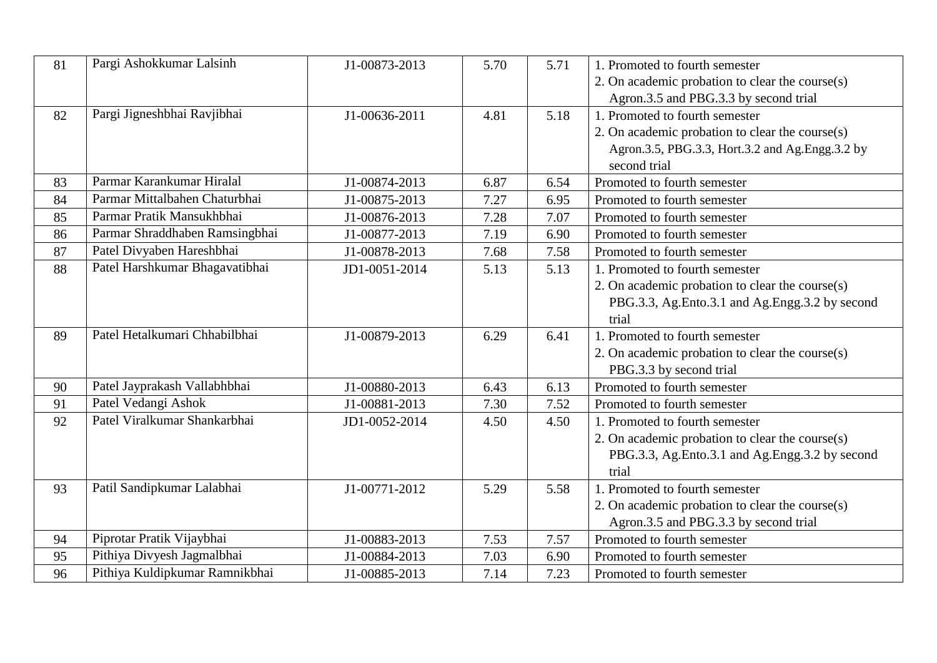| 81 | Pargi Ashokkumar Lalsinh       | J1-00873-2013 | 5.70 | 5.71 | 1. Promoted to fourth semester<br>2. On academic probation to clear the course $(s)$<br>Agron.3.5 and PBG.3.3 by second trial                           |
|----|--------------------------------|---------------|------|------|---------------------------------------------------------------------------------------------------------------------------------------------------------|
| 82 | Pargi Jigneshbhai Ravjibhai    | J1-00636-2011 | 4.81 | 5.18 | 1. Promoted to fourth semester<br>2. On academic probation to clear the course $(s)$<br>Agron.3.5, PBG.3.3, Hort.3.2 and Ag.Engg.3.2 by<br>second trial |
| 83 | Parmar Karankumar Hiralal      | J1-00874-2013 | 6.87 | 6.54 | Promoted to fourth semester                                                                                                                             |
| 84 | Parmar Mittalbahen Chaturbhai  | J1-00875-2013 | 7.27 | 6.95 | Promoted to fourth semester                                                                                                                             |
| 85 | Parmar Pratik Mansukhbhai      | J1-00876-2013 | 7.28 | 7.07 | Promoted to fourth semester                                                                                                                             |
| 86 | Parmar Shraddhaben Ramsingbhai | J1-00877-2013 | 7.19 | 6.90 | Promoted to fourth semester                                                                                                                             |
| 87 | Patel Divyaben Hareshbhai      | J1-00878-2013 | 7.68 | 7.58 | Promoted to fourth semester                                                                                                                             |
| 88 | Patel Harshkumar Bhagavatibhai | JD1-0051-2014 | 5.13 | 5.13 | 1. Promoted to fourth semester                                                                                                                          |
|    |                                |               |      |      | 2. On academic probation to clear the course(s)<br>PBG.3.3, Ag.Ento.3.1 and Ag.Engg.3.2 by second<br>trial                                              |
| 89 | Patel Hetalkumari Chhabilbhai  | J1-00879-2013 | 6.29 | 6.41 | 1. Promoted to fourth semester<br>2. On academic probation to clear the course(s)<br>PBG.3.3 by second trial                                            |
| 90 | Patel Jayprakash Vallabhbhai   | J1-00880-2013 | 6.43 | 6.13 | Promoted to fourth semester                                                                                                                             |
| 91 | Patel Vedangi Ashok            | J1-00881-2013 | 7.30 | 7.52 | Promoted to fourth semester                                                                                                                             |
| 92 | Patel Viralkumar Shankarbhai   | JD1-0052-2014 | 4.50 | 4.50 | 1. Promoted to fourth semester<br>2. On academic probation to clear the course(s)<br>PBG.3.3, Ag.Ento.3.1 and Ag.Engg.3.2 by second<br>trial            |
| 93 | Patil Sandipkumar Lalabhai     | J1-00771-2012 | 5.29 | 5.58 | 1. Promoted to fourth semester<br>2. On academic probation to clear the course(s)<br>Agron.3.5 and PBG.3.3 by second trial                              |
| 94 | Piprotar Pratik Vijaybhai      | J1-00883-2013 | 7.53 | 7.57 | Promoted to fourth semester                                                                                                                             |
| 95 | Pithiya Divyesh Jagmalbhai     | J1-00884-2013 | 7.03 | 6.90 | Promoted to fourth semester                                                                                                                             |
| 96 | Pithiya Kuldipkumar Ramnikbhai | J1-00885-2013 | 7.14 | 7.23 | Promoted to fourth semester                                                                                                                             |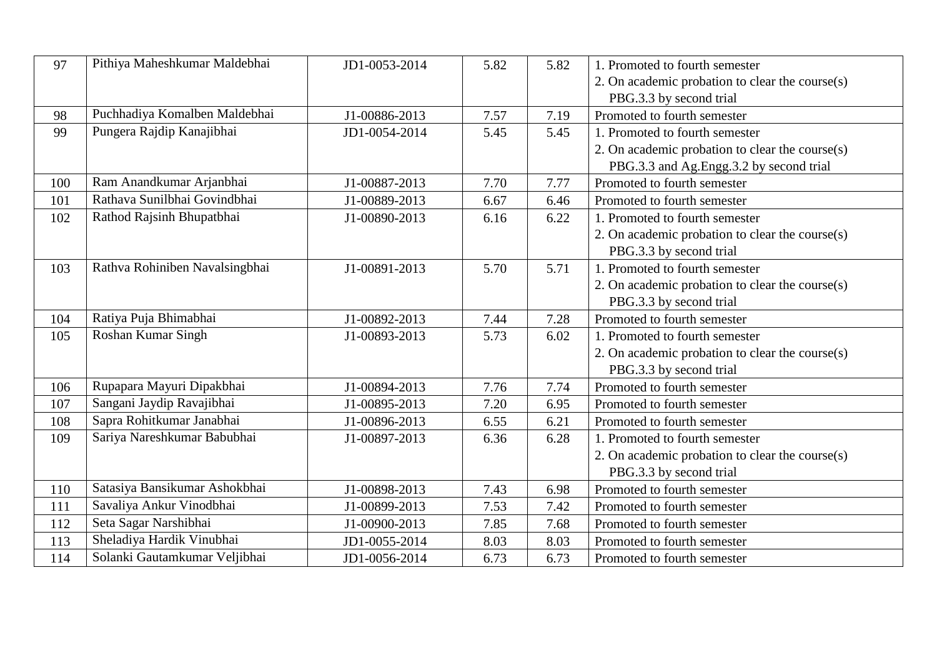| 97  | Pithiya Maheshkumar Maldebhai  | JD1-0053-2014 | 5.82 | 5.82 | 1. Promoted to fourth semester                                             |
|-----|--------------------------------|---------------|------|------|----------------------------------------------------------------------------|
|     |                                |               |      |      | 2. On academic probation to clear the course(s)<br>PBG.3.3 by second trial |
| 98  | Puchhadiya Komalben Maldebhai  | J1-00886-2013 | 7.57 | 7.19 | Promoted to fourth semester                                                |
| 99  | Pungera Rajdip Kanajibhai      | JD1-0054-2014 | 5.45 | 5.45 | 1. Promoted to fourth semester                                             |
|     |                                |               |      |      | 2. On academic probation to clear the course(s)                            |
|     |                                |               |      |      | PBG.3.3 and Ag.Engg.3.2 by second trial                                    |
| 100 | Ram Anandkumar Arjanbhai       | J1-00887-2013 | 7.70 | 7.77 | Promoted to fourth semester                                                |
| 101 | Rathava Sunilbhai Govindbhai   | J1-00889-2013 | 6.67 | 6.46 | Promoted to fourth semester                                                |
| 102 | Rathod Rajsinh Bhupatbhai      | J1-00890-2013 | 6.16 | 6.22 | 1. Promoted to fourth semester                                             |
|     |                                |               |      |      | 2. On academic probation to clear the course(s)                            |
|     |                                |               |      |      | PBG.3.3 by second trial                                                    |
| 103 | Rathva Rohiniben Navalsingbhai | J1-00891-2013 | 5.70 | 5.71 | 1. Promoted to fourth semester                                             |
|     |                                |               |      |      | 2. On academic probation to clear the course(s)                            |
|     |                                |               |      |      | PBG.3.3 by second trial                                                    |
| 104 | Ratiya Puja Bhimabhai          | J1-00892-2013 | 7.44 | 7.28 | Promoted to fourth semester                                                |
| 105 | Roshan Kumar Singh             | J1-00893-2013 | 5.73 | 6.02 | 1. Promoted to fourth semester                                             |
|     |                                |               |      |      | 2. On academic probation to clear the course(s)                            |
|     |                                |               |      |      | PBG.3.3 by second trial                                                    |
| 106 | Rupapara Mayuri Dipakbhai      | J1-00894-2013 | 7.76 | 7.74 | Promoted to fourth semester                                                |
| 107 | Sangani Jaydip Ravajibhai      | J1-00895-2013 | 7.20 | 6.95 | Promoted to fourth semester                                                |
| 108 | Sapra Rohitkumar Janabhai      | J1-00896-2013 | 6.55 | 6.21 | Promoted to fourth semester                                                |
| 109 | Sariya Nareshkumar Babubhai    | J1-00897-2013 | 6.36 | 6.28 | 1. Promoted to fourth semester                                             |
|     |                                |               |      |      | 2. On academic probation to clear the course(s)                            |
|     |                                |               |      |      | PBG.3.3 by second trial                                                    |
| 110 | Satasiya Bansikumar Ashokbhai  | J1-00898-2013 | 7.43 | 6.98 | Promoted to fourth semester                                                |
| 111 | Savaliya Ankur Vinodbhai       | J1-00899-2013 | 7.53 | 7.42 | Promoted to fourth semester                                                |
| 112 | Seta Sagar Narshibhai          | J1-00900-2013 | 7.85 | 7.68 | Promoted to fourth semester                                                |
| 113 | Sheladiya Hardik Vinubhai      | JD1-0055-2014 | 8.03 | 8.03 | Promoted to fourth semester                                                |
| 114 | Solanki Gautamkumar Veljibhai  | JD1-0056-2014 | 6.73 | 6.73 | Promoted to fourth semester                                                |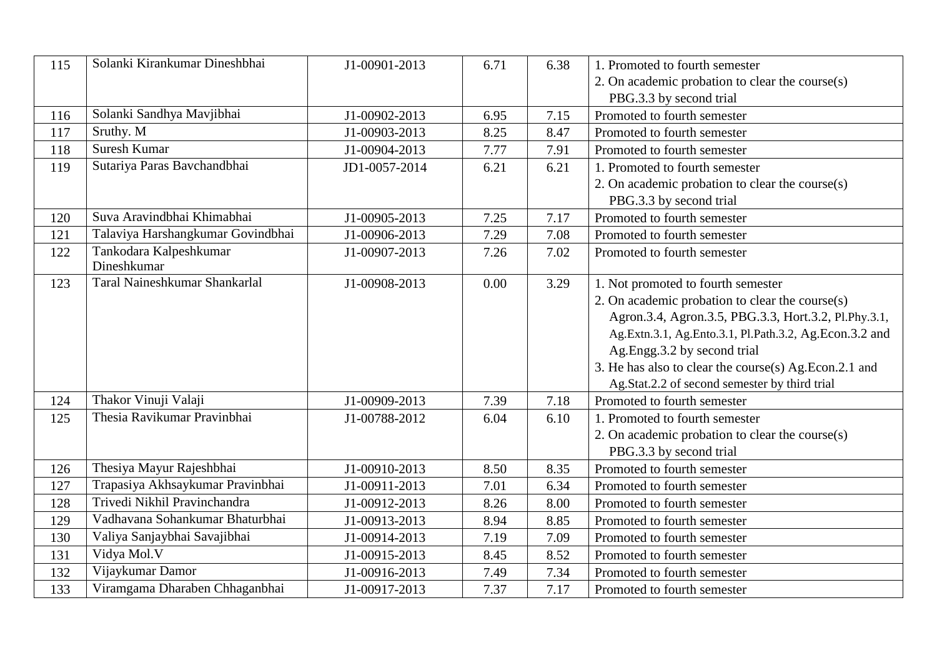| 115 | Solanki Kirankumar Dineshbhai        | J1-00901-2013 | 6.71 | 6.38 | 1. Promoted to fourth semester                         |
|-----|--------------------------------------|---------------|------|------|--------------------------------------------------------|
|     |                                      |               |      |      | 2. On academic probation to clear the course(s)        |
|     |                                      |               |      |      | PBG.3.3 by second trial                                |
| 116 | Solanki Sandhya Mavjibhai            | J1-00902-2013 | 6.95 | 7.15 | Promoted to fourth semester                            |
| 117 | Sruthy. M                            | J1-00903-2013 | 8.25 | 8.47 | Promoted to fourth semester                            |
| 118 | Suresh Kumar                         | J1-00904-2013 | 7.77 | 7.91 | Promoted to fourth semester                            |
| 119 | Sutariya Paras Bavchandbhai          | JD1-0057-2014 | 6.21 | 6.21 | 1. Promoted to fourth semester                         |
|     |                                      |               |      |      | 2. On academic probation to clear the course(s)        |
|     |                                      |               |      |      | PBG.3.3 by second trial                                |
| 120 | Suva Aravindbhai Khimabhai           | J1-00905-2013 | 7.25 | 7.17 | Promoted to fourth semester                            |
| 121 | Talaviya Harshangkumar Govindbhai    | J1-00906-2013 | 7.29 | 7.08 | Promoted to fourth semester                            |
| 122 | Tankodara Kalpeshkumar               | J1-00907-2013 | 7.26 | 7.02 | Promoted to fourth semester                            |
|     | Dineshkumar                          |               |      |      |                                                        |
| 123 | <b>Taral Naineshkumar Shankarlal</b> | J1-00908-2013 | 0.00 | 3.29 | 1. Not promoted to fourth semester                     |
|     |                                      |               |      |      | 2. On academic probation to clear the course(s)        |
|     |                                      |               |      |      | Agron.3.4, Agron.3.5, PBG.3.3, Hort.3.2, Pl.Phy.3.1,   |
|     |                                      |               |      |      | Ag.Extn.3.1, Ag.Ento.3.1, Pl.Path.3.2, Ag.Econ.3.2 and |
|     |                                      |               |      |      | Ag.Engg.3.2 by second trial                            |
|     |                                      |               |      |      | 3. He has also to clear the course(s) Ag.Econ.2.1 and  |
|     |                                      |               |      |      | Ag.Stat.2.2 of second semester by third trial          |
| 124 | Thakor Vinuji Valaji                 | J1-00909-2013 | 7.39 | 7.18 | Promoted to fourth semester                            |
| 125 | Thesia Ravikumar Pravinbhai          | J1-00788-2012 | 6.04 | 6.10 | 1. Promoted to fourth semester                         |
|     |                                      |               |      |      | 2. On academic probation to clear the course(s)        |
|     |                                      |               |      |      | PBG.3.3 by second trial                                |
| 126 | Thesiya Mayur Rajeshbhai             | J1-00910-2013 | 8.50 | 8.35 | Promoted to fourth semester                            |
| 127 | Trapasiya Akhsaykumar Pravinbhai     | J1-00911-2013 | 7.01 | 6.34 | Promoted to fourth semester                            |
| 128 | Trivedi Nikhil Pravinchandra         | J1-00912-2013 | 8.26 | 8.00 | Promoted to fourth semester                            |
| 129 | Vadhavana Sohankumar Bhaturbhai      | J1-00913-2013 | 8.94 | 8.85 | Promoted to fourth semester                            |
| 130 | Valiya Sanjaybhai Savajibhai         | J1-00914-2013 | 7.19 | 7.09 | Promoted to fourth semester                            |
| 131 | Vidya Mol.V                          | J1-00915-2013 | 8.45 | 8.52 | Promoted to fourth semester                            |
| 132 | Vijaykumar Damor                     | J1-00916-2013 | 7.49 | 7.34 | Promoted to fourth semester                            |
| 133 | Viramgama Dharaben Chhaganbhai       | J1-00917-2013 | 7.37 | 7.17 | Promoted to fourth semester                            |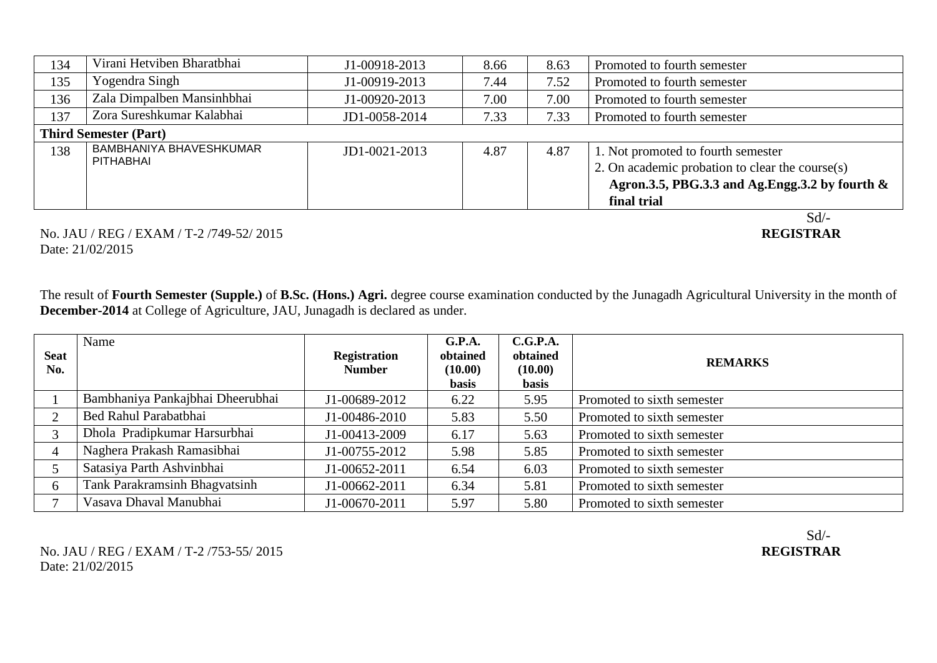| 134 | Virani Hetviben Bharatbhai     | J1-00918-2013       | 8.66 | 8.63 | Promoted to fourth semester                        |  |  |  |
|-----|--------------------------------|---------------------|------|------|----------------------------------------------------|--|--|--|
| 135 | Yogendra Singh                 | J1-00919-2013       | 7.44 | 7.52 | Promoted to fourth semester                        |  |  |  |
| 136 | Zala Dimpalben Mansinhbhai     | J1-00920-2013       | 7.00 | 7.00 | Promoted to fourth semester                        |  |  |  |
| 137 | Zora Sureshkumar Kalabhai      | JD1-0058-2014       | 7.33 | 7.33 | Promoted to fourth semester                        |  |  |  |
|     | <b>Third Semester (Part)</b>   |                     |      |      |                                                    |  |  |  |
| 138 | <b>BAMBHANIYA BHAVESHKUMAR</b> | $JD1 - 0021 - 2013$ | 4.87 | 4.87 | 1. Not promoted to fourth semester                 |  |  |  |
|     | PITHABHAI                      |                     |      |      | 2. On academic probation to clear the course $(s)$ |  |  |  |
|     |                                |                     |      |      | Agron.3.5, PBG.3.3 and Ag.Engg.3.2 by fourth $\&$  |  |  |  |
|     |                                |                     |      |      | final trial                                        |  |  |  |
|     |                                |                     |      |      | Sd                                                 |  |  |  |

#### No. JAU / REG / EXAM / T-2 /749-52/ 2015 **REGISTRAR** Date: 21/02/2015

The result of **Fourth Semester (Supple.)** of **B.Sc. (Hons.) Agri.** degree course examination conducted by the Junagadh Agricultural University in the month of **December-2014** at College of Agriculture, JAU, Junagadh is declared as under.

| <b>Seat</b><br>No. | Name                             | <b>Registration</b><br><b>Number</b> | G.P.A.<br>obtained<br>(10.00)<br><b>basis</b> | C.G.P.A.<br>obtained<br>(10.00)<br><b>basis</b> | <b>REMARKS</b>             |
|--------------------|----------------------------------|--------------------------------------|-----------------------------------------------|-------------------------------------------------|----------------------------|
|                    | Bambhaniya Pankajbhai Dheerubhai | J1-00689-2012                        | 6.22                                          | 5.95                                            | Promoted to sixth semester |
|                    | Bed Rahul Parabatbhai            | J1-00486-2010                        | 5.83                                          | 5.50                                            | Promoted to sixth semester |
|                    | Dhola Pradipkumar Harsurbhai     | J1-00413-2009                        | 6.17                                          | 5.63                                            | Promoted to sixth semester |
| 4                  | Naghera Prakash Ramasibhai       | J1-00755-2012                        | 5.98                                          | 5.85                                            | Promoted to sixth semester |
|                    | Satasiya Parth Ashvinbhai        | J1-00652-2011                        | 6.54                                          | 6.03                                            | Promoted to sixth semester |
| 6                  | Tank Parakramsinh Bhagvatsinh    | J1-00662-2011                        | 6.34                                          | 5.81                                            | Promoted to sixth semester |
|                    | Vasava Dhaval Manubhai           | J1-00670-2011                        | 5.97                                          | 5.80                                            | Promoted to sixth semester |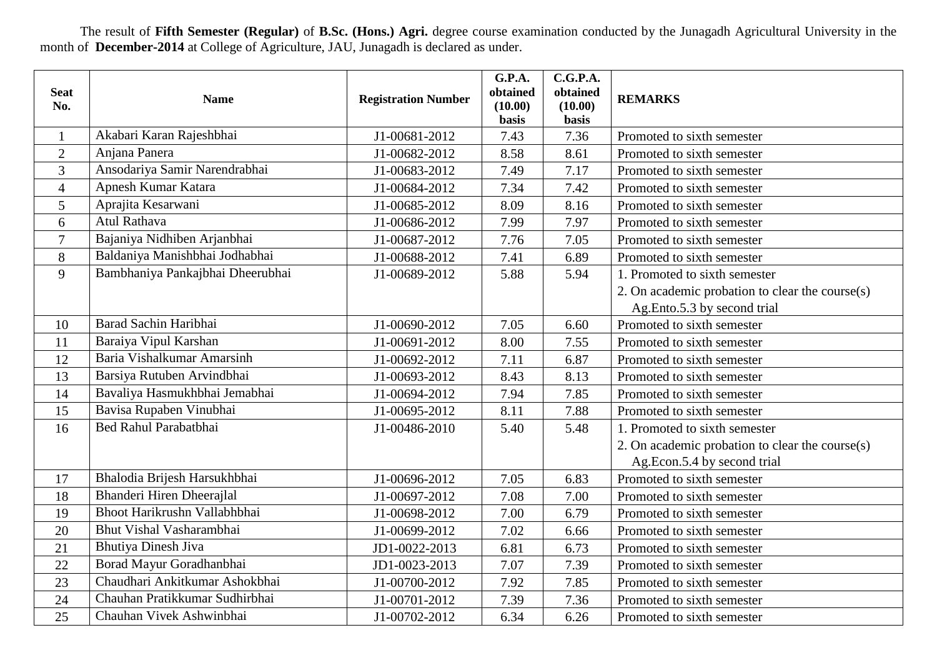The result of **Fifth Semester (Regular)** of **B.Sc. (Hons.) Agri.** degree course examination conducted by the Junagadh Agricultural University in the month of **December-2014** at College of Agriculture, JAU, Junagadh is declared as under.

| <b>Seat</b><br>No. | <b>Name</b>                      | <b>Registration Number</b> | G.P.A.<br>obtained<br>(10.00) | C.G.P.A.<br>obtained<br>(10.00) | <b>REMARKS</b>                                  |
|--------------------|----------------------------------|----------------------------|-------------------------------|---------------------------------|-------------------------------------------------|
|                    |                                  |                            | basis                         | basis                           |                                                 |
| $\mathbf{1}$       | Akabari Karan Rajeshbhai         | J1-00681-2012              | 7.43                          | 7.36                            | Promoted to sixth semester                      |
| $\overline{2}$     | Anjana Panera                    | J1-00682-2012              | 8.58                          | 8.61                            | Promoted to sixth semester                      |
| 3                  | Ansodariya Samir Narendrabhai    | J1-00683-2012              | 7.49                          | 7.17                            | Promoted to sixth semester                      |
| $\overline{4}$     | Apnesh Kumar Katara              | J1-00684-2012              | 7.34                          | 7.42                            | Promoted to sixth semester                      |
| 5                  | Aprajita Kesarwani               | J1-00685-2012              | 8.09                          | 8.16                            | Promoted to sixth semester                      |
| 6                  | <b>Atul Rathava</b>              | J1-00686-2012              | 7.99                          | 7.97                            | Promoted to sixth semester                      |
| $\overline{7}$     | Bajaniya Nidhiben Arjanbhai      | J1-00687-2012              | 7.76                          | 7.05                            | Promoted to sixth semester                      |
| 8                  | Baldaniya Manishbhai Jodhabhai   | J1-00688-2012              | 7.41                          | 6.89                            | Promoted to sixth semester                      |
| 9                  | Bambhaniya Pankajbhai Dheerubhai | J1-00689-2012              | 5.88                          | 5.94                            | 1. Promoted to sixth semester                   |
|                    |                                  |                            |                               |                                 | 2. On academic probation to clear the course(s) |
|                    |                                  |                            |                               |                                 | Ag.Ento.5.3 by second trial                     |
| 10                 | Barad Sachin Haribhai            | J1-00690-2012              | 7.05                          | 6.60                            | Promoted to sixth semester                      |
| 11                 | Baraiya Vipul Karshan            | J1-00691-2012              | 8.00                          | 7.55                            | Promoted to sixth semester                      |
| 12                 | Baria Vishalkumar Amarsinh       | J1-00692-2012              | 7.11                          | 6.87                            | Promoted to sixth semester                      |
| 13                 | Barsiya Rutuben Arvindbhai       | J1-00693-2012              | 8.43                          | 8.13                            | Promoted to sixth semester                      |
| 14                 | Bavaliya Hasmukhbhai Jemabhai    | J1-00694-2012              | 7.94                          | 7.85                            | Promoted to sixth semester                      |
| 15                 | Bavisa Rupaben Vinubhai          | J1-00695-2012              | 8.11                          | 7.88                            | Promoted to sixth semester                      |
| 16                 | Bed Rahul Parabatbhai            | J1-00486-2010              | 5.40                          | 5.48                            | 1. Promoted to sixth semester                   |
|                    |                                  |                            |                               |                                 | 2. On academic probation to clear the course(s) |
|                    |                                  |                            |                               |                                 | Ag.Econ.5.4 by second trial                     |
| 17                 | Bhalodia Brijesh Harsukhbhai     | J1-00696-2012              | 7.05                          | 6.83                            | Promoted to sixth semester                      |
| 18                 | Bhanderi Hiren Dheerajlal        | J1-00697-2012              | 7.08                          | 7.00                            | Promoted to sixth semester                      |
| 19                 | Bhoot Harikrushn Vallabhbhai     | J1-00698-2012              | 7.00                          | 6.79                            | Promoted to sixth semester                      |
| 20                 | Bhut Vishal Vasharambhai         | J1-00699-2012              | 7.02                          | 6.66                            | Promoted to sixth semester                      |
| 21                 | <b>Bhutiya Dinesh Jiva</b>       | JD1-0022-2013              | 6.81                          | 6.73                            | Promoted to sixth semester                      |
| 22                 | Borad Mayur Goradhanbhai         | JD1-0023-2013              | 7.07                          | 7.39                            | Promoted to sixth semester                      |
| 23                 | Chaudhari Ankitkumar Ashokbhai   | J1-00700-2012              | 7.92                          | 7.85                            | Promoted to sixth semester                      |
| 24                 | Chauhan Pratikkumar Sudhirbhai   | J1-00701-2012              | 7.39                          | 7.36                            | Promoted to sixth semester                      |
| 25                 | Chauhan Vivek Ashwinbhai         | J1-00702-2012              | 6.34                          | 6.26                            | Promoted to sixth semester                      |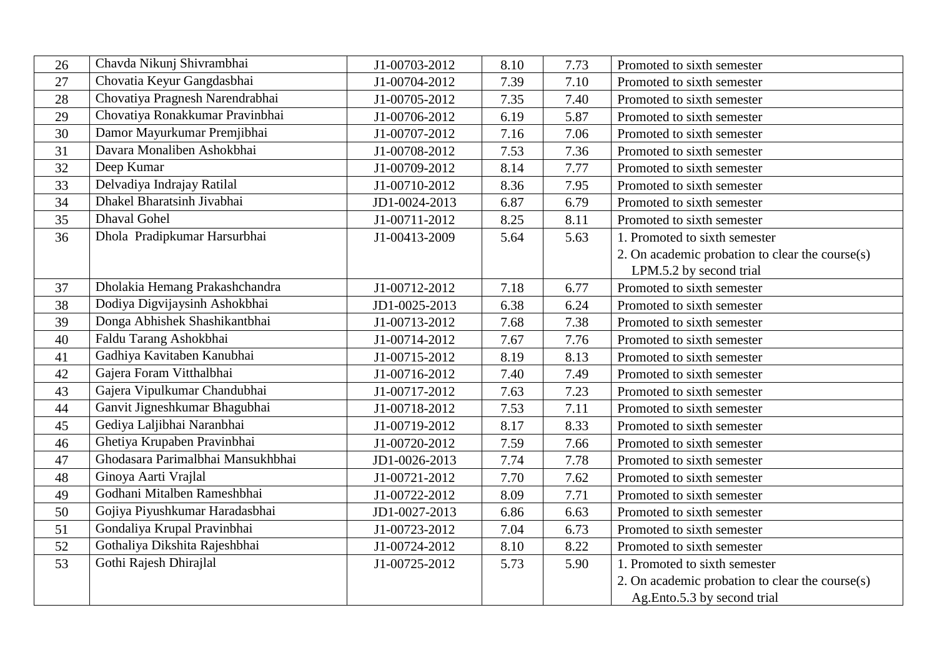| 26 | Chavda Nikunj Shivrambhai         | J1-00703-2012 | 8.10 | 7.73 | Promoted to sixth semester                      |
|----|-----------------------------------|---------------|------|------|-------------------------------------------------|
| 27 | Chovatia Keyur Gangdasbhai        | J1-00704-2012 | 7.39 | 7.10 | Promoted to sixth semester                      |
| 28 | Chovatiya Pragnesh Narendrabhai   | J1-00705-2012 | 7.35 | 7.40 | Promoted to sixth semester                      |
| 29 | Chovatiya Ronakkumar Pravinbhai   | J1-00706-2012 | 6.19 | 5.87 | Promoted to sixth semester                      |
| 30 | Damor Mayurkumar Premjibhai       | J1-00707-2012 | 7.16 | 7.06 | Promoted to sixth semester                      |
| 31 | Davara Monaliben Ashokbhai        | J1-00708-2012 | 7.53 | 7.36 | Promoted to sixth semester                      |
| 32 | Deep Kumar                        | J1-00709-2012 | 8.14 | 7.77 | Promoted to sixth semester                      |
| 33 | Delvadiya Indrajay Ratilal        | J1-00710-2012 | 8.36 | 7.95 | Promoted to sixth semester                      |
| 34 | Dhakel Bharatsinh Jivabhai        | JD1-0024-2013 | 6.87 | 6.79 | Promoted to sixth semester                      |
| 35 | <b>Dhaval Gohel</b>               | J1-00711-2012 | 8.25 | 8.11 | Promoted to sixth semester                      |
| 36 | Dhola Pradipkumar Harsurbhai      | J1-00413-2009 | 5.64 | 5.63 | 1. Promoted to sixth semester                   |
|    |                                   |               |      |      | 2. On academic probation to clear the course(s) |
|    |                                   |               |      |      | LPM.5.2 by second trial                         |
| 37 | Dholakia Hemang Prakashchandra    | J1-00712-2012 | 7.18 | 6.77 | Promoted to sixth semester                      |
| 38 | Dodiya Digvijaysinh Ashokbhai     | JD1-0025-2013 | 6.38 | 6.24 | Promoted to sixth semester                      |
| 39 | Donga Abhishek Shashikantbhai     | J1-00713-2012 | 7.68 | 7.38 | Promoted to sixth semester                      |
| 40 | Faldu Tarang Ashokbhai            | J1-00714-2012 | 7.67 | 7.76 | Promoted to sixth semester                      |
| 41 | Gadhiya Kavitaben Kanubhai        | J1-00715-2012 | 8.19 | 8.13 | Promoted to sixth semester                      |
| 42 | Gajera Foram Vitthalbhai          | J1-00716-2012 | 7.40 | 7.49 | Promoted to sixth semester                      |
| 43 | Gajera Vipulkumar Chandubhai      | J1-00717-2012 | 7.63 | 7.23 | Promoted to sixth semester                      |
| 44 | Ganvit Jigneshkumar Bhagubhai     | J1-00718-2012 | 7.53 | 7.11 | Promoted to sixth semester                      |
| 45 | Gediya Laljibhai Naranbhai        | J1-00719-2012 | 8.17 | 8.33 | Promoted to sixth semester                      |
| 46 | Ghetiya Krupaben Pravinbhai       | J1-00720-2012 | 7.59 | 7.66 | Promoted to sixth semester                      |
| 47 | Ghodasara Parimalbhai Mansukhbhai | JD1-0026-2013 | 7.74 | 7.78 | Promoted to sixth semester                      |
| 48 | Ginoya Aarti Vrajlal              | J1-00721-2012 | 7.70 | 7.62 | Promoted to sixth semester                      |
| 49 | Godhani Mitalben Rameshbhai       | J1-00722-2012 | 8.09 | 7.71 | Promoted to sixth semester                      |
| 50 | Gojiya Piyushkumar Haradasbhai    | JD1-0027-2013 | 6.86 | 6.63 | Promoted to sixth semester                      |
| 51 | Gondaliya Krupal Pravinbhai       | J1-00723-2012 | 7.04 | 6.73 | Promoted to sixth semester                      |
| 52 | Gothaliya Dikshita Rajeshbhai     | J1-00724-2012 | 8.10 | 8.22 | Promoted to sixth semester                      |
| 53 | Gothi Rajesh Dhirajlal            | J1-00725-2012 | 5.73 | 5.90 | 1. Promoted to sixth semester                   |
|    |                                   |               |      |      | 2. On academic probation to clear the course(s) |
|    |                                   |               |      |      | Ag.Ento.5.3 by second trial                     |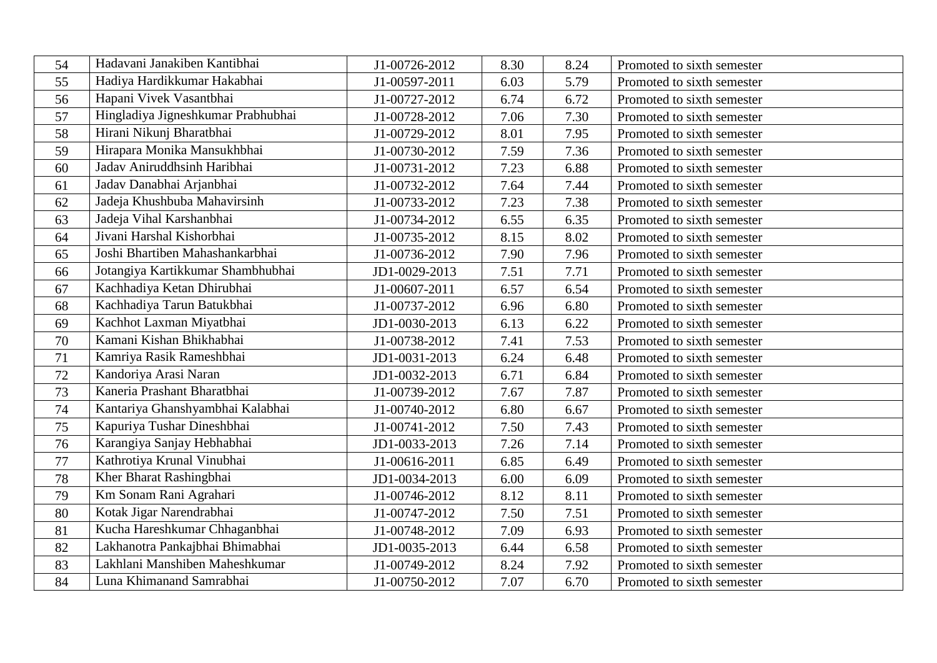| 54 | Hadavani Janakiben Kantibhai       | J1-00726-2012 | 8.30 | 8.24 | Promoted to sixth semester |
|----|------------------------------------|---------------|------|------|----------------------------|
| 55 | Hadiya Hardikkumar Hakabhai        | J1-00597-2011 | 6.03 | 5.79 | Promoted to sixth semester |
| 56 | Hapani Vivek Vasantbhai            | J1-00727-2012 | 6.74 | 6.72 | Promoted to sixth semester |
| 57 | Hingladiya Jigneshkumar Prabhubhai | J1-00728-2012 | 7.06 | 7.30 | Promoted to sixth semester |
| 58 | Hirani Nikunj Bharatbhai           | J1-00729-2012 | 8.01 | 7.95 | Promoted to sixth semester |
| 59 | Hirapara Monika Mansukhbhai        | J1-00730-2012 | 7.59 | 7.36 | Promoted to sixth semester |
| 60 | Jadav Aniruddhsinh Haribhai        | J1-00731-2012 | 7.23 | 6.88 | Promoted to sixth semester |
| 61 | Jadav Danabhai Arjanbhai           | J1-00732-2012 | 7.64 | 7.44 | Promoted to sixth semester |
| 62 | Jadeja Khushbuba Mahavirsinh       | J1-00733-2012 | 7.23 | 7.38 | Promoted to sixth semester |
| 63 | Jadeja Vihal Karshanbhai           | J1-00734-2012 | 6.55 | 6.35 | Promoted to sixth semester |
| 64 | Jivani Harshal Kishorbhai          | J1-00735-2012 | 8.15 | 8.02 | Promoted to sixth semester |
| 65 | Joshi Bhartiben Mahashankarbhai    | J1-00736-2012 | 7.90 | 7.96 | Promoted to sixth semester |
| 66 | Jotangiya Kartikkumar Shambhubhai  | JD1-0029-2013 | 7.51 | 7.71 | Promoted to sixth semester |
| 67 | Kachhadiya Ketan Dhirubhai         | J1-00607-2011 | 6.57 | 6.54 | Promoted to sixth semester |
| 68 | Kachhadiya Tarun Batukbhai         | J1-00737-2012 | 6.96 | 6.80 | Promoted to sixth semester |
| 69 | Kachhot Laxman Miyatbhai           | JD1-0030-2013 | 6.13 | 6.22 | Promoted to sixth semester |
| 70 | Kamani Kishan Bhikhabhai           | J1-00738-2012 | 7.41 | 7.53 | Promoted to sixth semester |
| 71 | Kamriya Rasik Rameshbhai           | JD1-0031-2013 | 6.24 | 6.48 | Promoted to sixth semester |
| 72 | Kandoriya Arasi Naran              | JD1-0032-2013 | 6.71 | 6.84 | Promoted to sixth semester |
| 73 | Kaneria Prashant Bharatbhai        | J1-00739-2012 | 7.67 | 7.87 | Promoted to sixth semester |
| 74 | Kantariya Ghanshyambhai Kalabhai   | J1-00740-2012 | 6.80 | 6.67 | Promoted to sixth semester |
| 75 | Kapuriya Tushar Dineshbhai         | J1-00741-2012 | 7.50 | 7.43 | Promoted to sixth semester |
| 76 | Karangiya Sanjay Hebhabhai         | JD1-0033-2013 | 7.26 | 7.14 | Promoted to sixth semester |
| 77 | Kathrotiya Krunal Vinubhai         | J1-00616-2011 | 6.85 | 6.49 | Promoted to sixth semester |
| 78 | Kher Bharat Rashingbhai            | JD1-0034-2013 | 6.00 | 6.09 | Promoted to sixth semester |
| 79 | Km Sonam Rani Agrahari             | J1-00746-2012 | 8.12 | 8.11 | Promoted to sixth semester |
| 80 | Kotak Jigar Narendrabhai           | J1-00747-2012 | 7.50 | 7.51 | Promoted to sixth semester |
| 81 | Kucha Hareshkumar Chhaganbhai      | J1-00748-2012 | 7.09 | 6.93 | Promoted to sixth semester |
| 82 | Lakhanotra Pankajbhai Bhimabhai    | JD1-0035-2013 | 6.44 | 6.58 | Promoted to sixth semester |
| 83 | Lakhlani Manshiben Maheshkumar     | J1-00749-2012 | 8.24 | 7.92 | Promoted to sixth semester |
| 84 | Luna Khimanand Samrabhai           | J1-00750-2012 | 7.07 | 6.70 | Promoted to sixth semester |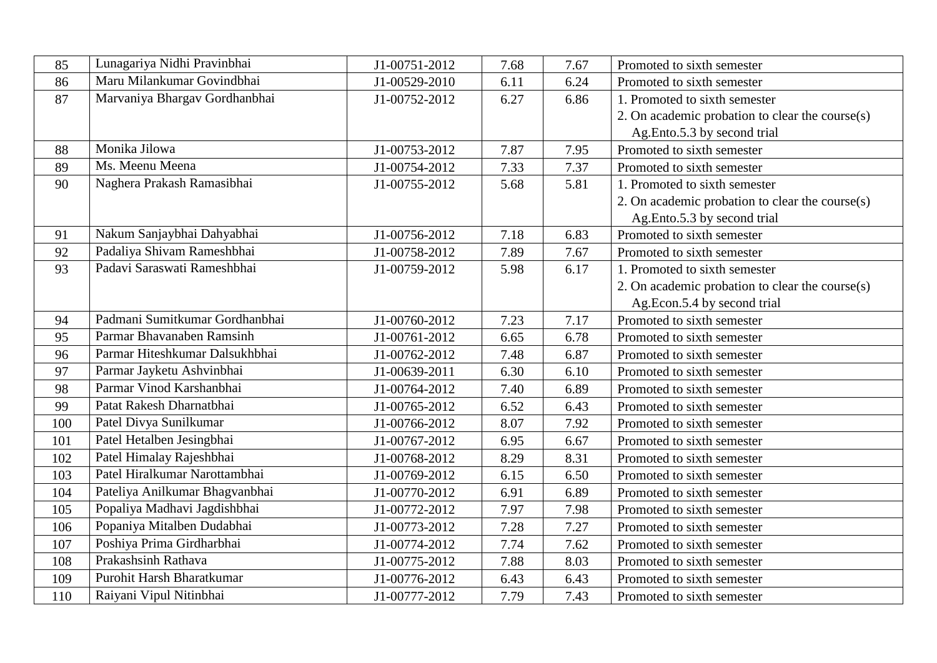| 85  | Lunagariya Nidhi Pravinbhai    | J1-00751-2012 | 7.68 | 7.67 | Promoted to sixth semester                      |
|-----|--------------------------------|---------------|------|------|-------------------------------------------------|
| 86  | Maru Milankumar Govindbhai     | J1-00529-2010 | 6.11 | 6.24 | Promoted to sixth semester                      |
| 87  | Marvaniya Bhargav Gordhanbhai  | J1-00752-2012 | 6.27 | 6.86 | 1. Promoted to sixth semester                   |
|     |                                |               |      |      | 2. On academic probation to clear the course(s) |
|     |                                |               |      |      | Ag.Ento.5.3 by second trial                     |
| 88  | Monika Jilowa                  | J1-00753-2012 | 7.87 | 7.95 | Promoted to sixth semester                      |
| 89  | Ms. Meenu Meena                | J1-00754-2012 | 7.33 | 7.37 | Promoted to sixth semester                      |
| 90  | Naghera Prakash Ramasibhai     | J1-00755-2012 | 5.68 | 5.81 | 1. Promoted to sixth semester                   |
|     |                                |               |      |      | 2. On academic probation to clear the course(s) |
|     |                                |               |      |      | Ag.Ento.5.3 by second trial                     |
| 91  | Nakum Sanjaybhai Dahyabhai     | J1-00756-2012 | 7.18 | 6.83 | Promoted to sixth semester                      |
| 92  | Padaliya Shivam Rameshbhai     | J1-00758-2012 | 7.89 | 7.67 | Promoted to sixth semester                      |
| 93  | Padavi Saraswati Rameshbhai    | J1-00759-2012 | 5.98 | 6.17 | 1. Promoted to sixth semester                   |
|     |                                |               |      |      | 2. On academic probation to clear the course(s) |
|     |                                |               |      |      | Ag.Econ.5.4 by second trial                     |
| 94  | Padmani Sumitkumar Gordhanbhai | J1-00760-2012 | 7.23 | 7.17 | Promoted to sixth semester                      |
| 95  | Parmar Bhavanaben Ramsinh      | J1-00761-2012 | 6.65 | 6.78 | Promoted to sixth semester                      |
| 96  | Parmar Hiteshkumar Dalsukhbhai | J1-00762-2012 | 7.48 | 6.87 | Promoted to sixth semester                      |
| 97  | Parmar Jayketu Ashvinbhai      | J1-00639-2011 | 6.30 | 6.10 | Promoted to sixth semester                      |
| 98  | Parmar Vinod Karshanbhai       | J1-00764-2012 | 7.40 | 6.89 | Promoted to sixth semester                      |
| 99  | Patat Rakesh Dharnatbhai       | J1-00765-2012 | 6.52 | 6.43 | Promoted to sixth semester                      |
| 100 | Patel Divya Sunilkumar         | J1-00766-2012 | 8.07 | 7.92 | Promoted to sixth semester                      |
| 101 | Patel Hetalben Jesingbhai      | J1-00767-2012 | 6.95 | 6.67 | Promoted to sixth semester                      |
| 102 | Patel Himalay Rajeshbhai       | J1-00768-2012 | 8.29 | 8.31 | Promoted to sixth semester                      |
| 103 | Patel Hiralkumar Narottambhai  | J1-00769-2012 | 6.15 | 6.50 | Promoted to sixth semester                      |
| 104 | Pateliya Anilkumar Bhagvanbhai | J1-00770-2012 | 6.91 | 6.89 | Promoted to sixth semester                      |
| 105 | Popaliya Madhavi Jagdishbhai   | J1-00772-2012 | 7.97 | 7.98 | Promoted to sixth semester                      |
| 106 | Popaniya Mitalben Dudabhai     | J1-00773-2012 | 7.28 | 7.27 | Promoted to sixth semester                      |
| 107 | Poshiya Prima Girdharbhai      | J1-00774-2012 | 7.74 | 7.62 | Promoted to sixth semester                      |
| 108 | Prakashsinh Rathava            | J1-00775-2012 | 7.88 | 8.03 | Promoted to sixth semester                      |
| 109 | Purohit Harsh Bharatkumar      | J1-00776-2012 | 6.43 | 6.43 | Promoted to sixth semester                      |
| 110 | Raiyani Vipul Nitinbhai        | J1-00777-2012 | 7.79 | 7.43 | Promoted to sixth semester                      |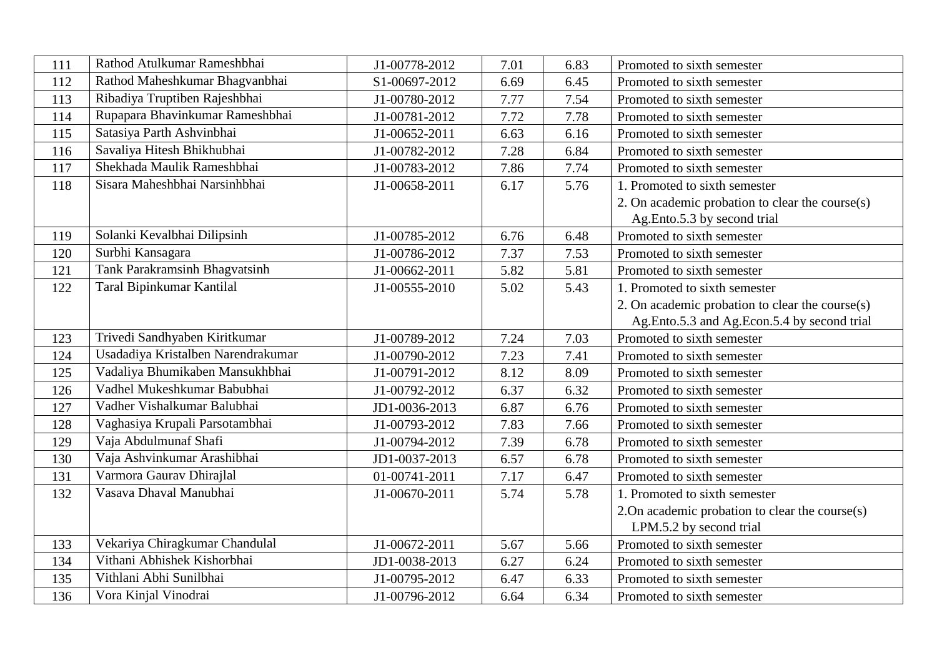| 111 | Rathod Atulkumar Rameshbhai        | J1-00778-2012 | 7.01 | 6.83 | Promoted to sixth semester                         |
|-----|------------------------------------|---------------|------|------|----------------------------------------------------|
| 112 | Rathod Maheshkumar Bhagvanbhai     | S1-00697-2012 | 6.69 | 6.45 | Promoted to sixth semester                         |
| 113 | Ribadiya Truptiben Rajeshbhai      | J1-00780-2012 | 7.77 | 7.54 | Promoted to sixth semester                         |
| 114 | Rupapara Bhavinkumar Rameshbhai    | J1-00781-2012 | 7.72 | 7.78 | Promoted to sixth semester                         |
| 115 | Satasiya Parth Ashvinbhai          | J1-00652-2011 | 6.63 | 6.16 | Promoted to sixth semester                         |
| 116 | Savaliya Hitesh Bhikhubhai         | J1-00782-2012 | 7.28 | 6.84 | Promoted to sixth semester                         |
| 117 | Shekhada Maulik Rameshbhai         | J1-00783-2012 | 7.86 | 7.74 | Promoted to sixth semester                         |
| 118 | Sisara Maheshbhai Narsinhbhai      | J1-00658-2011 | 6.17 | 5.76 | 1. Promoted to sixth semester                      |
|     |                                    |               |      |      | 2. On academic probation to clear the course(s)    |
|     |                                    |               |      |      | Ag.Ento.5.3 by second trial                        |
| 119 | Solanki Kevalbhai Dilipsinh        | J1-00785-2012 | 6.76 | 6.48 | Promoted to sixth semester                         |
| 120 | Surbhi Kansagara                   | J1-00786-2012 | 7.37 | 7.53 | Promoted to sixth semester                         |
| 121 | Tank Parakramsinh Bhagvatsinh      | J1-00662-2011 | 5.82 | 5.81 | Promoted to sixth semester                         |
| 122 | Taral Bipinkumar Kantilal          | J1-00555-2010 | 5.02 | 5.43 | 1. Promoted to sixth semester                      |
|     |                                    |               |      |      | 2. On academic probation to clear the course(s)    |
|     |                                    |               |      |      | Ag.Ento.5.3 and Ag.Econ.5.4 by second trial        |
| 123 | Trivedi Sandhyaben Kiritkumar      | J1-00789-2012 | 7.24 | 7.03 | Promoted to sixth semester                         |
| 124 | Usadadiya Kristalben Narendrakumar | J1-00790-2012 | 7.23 | 7.41 | Promoted to sixth semester                         |
| 125 | Vadaliya Bhumikaben Mansukhbhai    | J1-00791-2012 | 8.12 | 8.09 | Promoted to sixth semester                         |
| 126 | Vadhel Mukeshkumar Babubhai        | J1-00792-2012 | 6.37 | 6.32 | Promoted to sixth semester                         |
| 127 | Vadher Vishalkumar Balubhai        | JD1-0036-2013 | 6.87 | 6.76 | Promoted to sixth semester                         |
| 128 | Vaghasiya Krupali Parsotambhai     | J1-00793-2012 | 7.83 | 7.66 | Promoted to sixth semester                         |
| 129 | Vaja Abdulmunaf Shafi              | J1-00794-2012 | 7.39 | 6.78 | Promoted to sixth semester                         |
| 130 | Vaja Ashvinkumar Arashibhai        | JD1-0037-2013 | 6.57 | 6.78 | Promoted to sixth semester                         |
| 131 | Varmora Gaurav Dhirajlal           | 01-00741-2011 | 7.17 | 6.47 | Promoted to sixth semester                         |
| 132 | Vasava Dhaval Manubhai             | J1-00670-2011 | 5.74 | 5.78 | 1. Promoted to sixth semester                      |
|     |                                    |               |      |      | 2. On academic probation to clear the course $(s)$ |
|     |                                    |               |      |      | LPM.5.2 by second trial                            |
| 133 | Vekariya Chiragkumar Chandulal     | J1-00672-2011 | 5.67 | 5.66 | Promoted to sixth semester                         |
| 134 | Vithani Abhishek Kishorbhai        | JD1-0038-2013 | 6.27 | 6.24 | Promoted to sixth semester                         |
| 135 | Vithlani Abhi Sunilbhai            | J1-00795-2012 | 6.47 | 6.33 | Promoted to sixth semester                         |
| 136 | Vora Kinjal Vinodrai               | J1-00796-2012 | 6.64 | 6.34 | Promoted to sixth semester                         |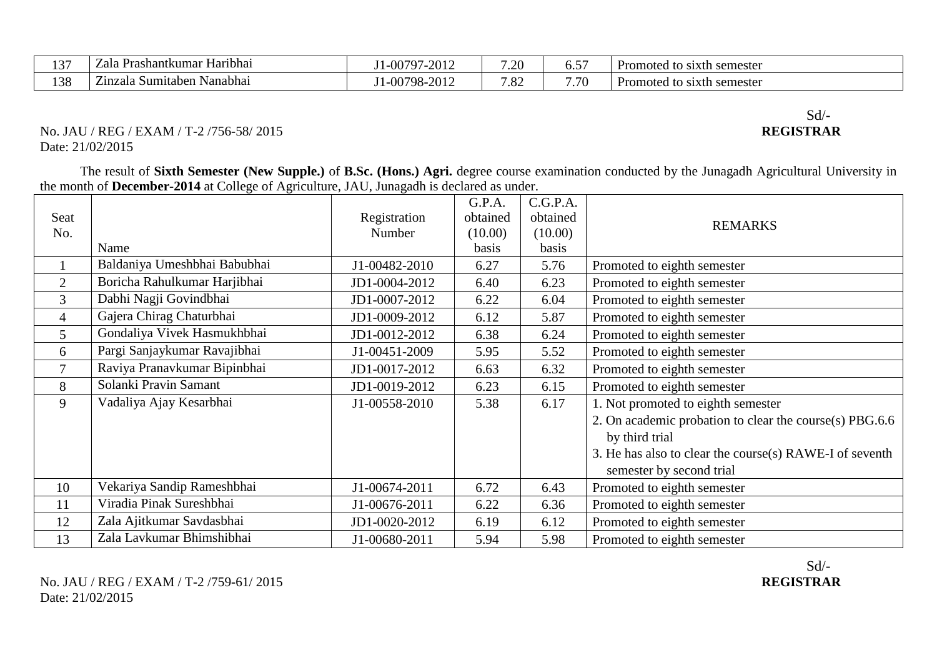| 1.2 <sub>5</sub>  | $\cdots$<br>shantkum.<br>Haribhai<br>$\cdot$ . $\cdot$<br>∠ala<br>. | $\sim$ $-$<br>0.01c<br>∩∩<br>$\mathbf{u}$ | $\gamma$<br>۰∠۰ | --<br>◡.◡ | <b>Promoted</b><br>semester<br>- to<br>sixth |
|-------------------|---------------------------------------------------------------------|-------------------------------------------|-----------------|-----------|----------------------------------------------|
| $\sqrt{2}$<br>198 | --<br>Nanabhai<br>$Z1$ n<br>. Sumitaber<br>zala                     | 0.01<br>98-<br>w                          | $\circ$<br>∡ه.′ | 7.70      | semester .<br>Promoted<br>sixth s<br>- to    |

#### No. JAU / REG / EXAM / T-2 /756-58/ 2015 Date: 21/02/2015

The result of **Sixth Semester (New Supple.)** of **B.Sc. (Hons.) Agri.** degree course examination conducted by the Junagadh Agricultural University in the month of **December-2014** at College of Agriculture, JAU, Junagadh is declared as under.

|                |                              |               | G.P.A.   | C.G.P.A. |                                                         |
|----------------|------------------------------|---------------|----------|----------|---------------------------------------------------------|
| Seat           |                              | Registration  | obtained | obtained | <b>REMARKS</b>                                          |
| No.            |                              | Number        | (10.00)  | (10.00)  |                                                         |
|                | Name                         |               | basis    | basis    |                                                         |
|                | Baldaniya Umeshbhai Babubhai | J1-00482-2010 | 6.27     | 5.76     | Promoted to eighth semester                             |
| 2              | Boricha Rahulkumar Harjibhai | JD1-0004-2012 | 6.40     | 6.23     | Promoted to eighth semester                             |
| 3              | Dabhi Nagji Govindbhai       | JD1-0007-2012 | 6.22     | 6.04     | Promoted to eighth semester                             |
| $\overline{4}$ | Gajera Chirag Chaturbhai     | JD1-0009-2012 | 6.12     | 5.87     | Promoted to eighth semester                             |
| 5 <sup>5</sup> | Gondaliya Vivek Hasmukhbhai  | JD1-0012-2012 | 6.38     | 6.24     | Promoted to eighth semester                             |
| 6              | Pargi Sanjaykumar Ravajibhai | J1-00451-2009 | 5.95     | 5.52     | Promoted to eighth semester                             |
| $\overline{7}$ | Raviya Pranavkumar Bipinbhai | JD1-0017-2012 | 6.63     | 6.32     | Promoted to eighth semester                             |
| 8              | Solanki Pravin Samant        | JD1-0019-2012 | 6.23     | 6.15     | Promoted to eighth semester                             |
| 9              | Vadaliya Ajay Kesarbhai      | J1-00558-2010 | 5.38     | 6.17     | 1. Not promoted to eighth semester                      |
|                |                              |               |          |          | 2. On academic probation to clear the course(s) PBG.6.6 |
|                |                              |               |          |          | by third trial                                          |
|                |                              |               |          |          | 3. He has also to clear the course(s) RAWE-I of seventh |
|                |                              |               |          |          | semester by second trial                                |
| 10             | Vekariya Sandip Rameshbhai   | J1-00674-2011 | 6.72     | 6.43     | Promoted to eighth semester                             |
| 11             | Viradia Pinak Sureshbhai     | J1-00676-2011 | 6.22     | 6.36     | Promoted to eighth semester                             |
| 12             | Zala Ajitkumar Savdasbhai    | JD1-0020-2012 | 6.19     | 6.12     | Promoted to eighth semester                             |
| 13             | Zala Lavkumar Bhimshibhai    | J1-00680-2011 | 5.94     | 5.98     | Promoted to eighth semester                             |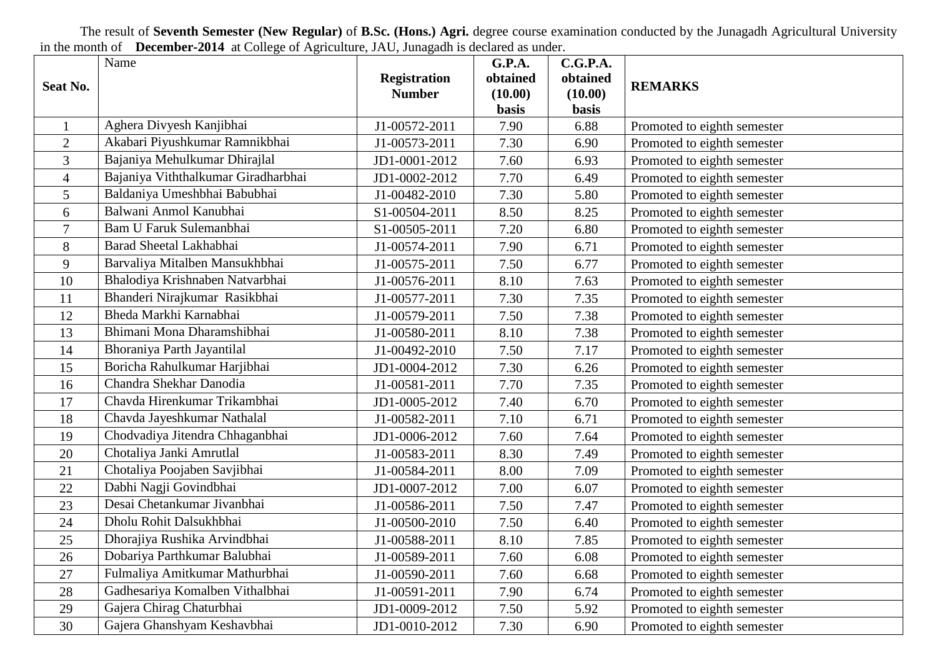The result of **Seventh Semester (New Regular)** of **B.Sc. (Hons.) Agri.** degree course examination conducted by the Junagadh Agricultural University in the month of **December-2014** at College of Agriculture, JAU, Junagadh is declared as under.

|                      | Name                                |                     | <b>G.P.A.</b>        | C.G.P.A.             |                             |
|----------------------|-------------------------------------|---------------------|----------------------|----------------------|-----------------------------|
| Seat No.             |                                     | <b>Registration</b> | obtained             | obtained             | <b>REMARKS</b>              |
|                      |                                     | <b>Number</b>       | (10.00)              | (10.00)              |                             |
|                      | Aghera Divyesh Kanjibhai            |                     | <b>basis</b><br>7.90 | <b>basis</b><br>6.88 |                             |
| -1<br>$\overline{2}$ | Akabari Piyushkumar Ramnikbhai      | J1-00572-2011       | 7.30                 | 6.90                 | Promoted to eighth semester |
|                      | Bajaniya Mehulkumar Dhirajlal       | J1-00573-2011       |                      |                      | Promoted to eighth semester |
| $\overline{3}$       | Bajaniya Viththalkumar Giradharbhai | JD1-0001-2012       | 7.60                 | 6.93                 | Promoted to eighth semester |
| $\overline{4}$       |                                     | JD1-0002-2012       | 7.70                 | 6.49                 | Promoted to eighth semester |
| $\mathfrak{S}$       | Baldaniya Umeshbhai Babubhai        | J1-00482-2010       | 7.30                 | 5.80                 | Promoted to eighth semester |
| 6                    | Balwani Anmol Kanubhai              | S1-00504-2011       | 8.50                 | 8.25                 | Promoted to eighth semester |
| $\overline{7}$       | <b>Bam U Faruk Sulemanbhai</b>      | S1-00505-2011       | 7.20                 | 6.80                 | Promoted to eighth semester |
| 8                    | Barad Sheetal Lakhabhai             | J1-00574-2011       | 7.90                 | 6.71                 | Promoted to eighth semester |
| 9                    | Barvaliya Mitalben Mansukhbhai      | J1-00575-2011       | 7.50                 | 6.77                 | Promoted to eighth semester |
| 10                   | Bhalodiya Krishnaben Natvarbhai     | J1-00576-2011       | 8.10                 | 7.63                 | Promoted to eighth semester |
| 11                   | Bhanderi Nirajkumar Rasikbhai       | J1-00577-2011       | 7.30                 | 7.35                 | Promoted to eighth semester |
| 12                   | Bheda Markhi Karnabhai              | J1-00579-2011       | 7.50                 | 7.38                 | Promoted to eighth semester |
| 13                   | Bhimani Mona Dharamshibhai          | J1-00580-2011       | 8.10                 | 7.38                 | Promoted to eighth semester |
| 14                   | Bhoraniya Parth Jayantilal          | J1-00492-2010       | 7.50                 | 7.17                 | Promoted to eighth semester |
| 15                   | Boricha Rahulkumar Harjibhai        | JD1-0004-2012       | 7.30                 | 6.26                 | Promoted to eighth semester |
| 16                   | Chandra Shekhar Danodia             | J1-00581-2011       | 7.70                 | 7.35                 | Promoted to eighth semester |
| 17                   | Chavda Hirenkumar Trikambhai        | JD1-0005-2012       | 7.40                 | 6.70                 | Promoted to eighth semester |
| 18                   | Chavda Jayeshkumar Nathalal         | J1-00582-2011       | 7.10                 | 6.71                 | Promoted to eighth semester |
| 19                   | Chodvadiya Jitendra Chhaganbhai     | JD1-0006-2012       | 7.60                 | 7.64                 | Promoted to eighth semester |
| 20                   | Chotaliya Janki Amrutlal            | J1-00583-2011       | 8.30                 | 7.49                 | Promoted to eighth semester |
| 21                   | Chotaliya Poojaben Savjibhai        | J1-00584-2011       | 8.00                 | 7.09                 | Promoted to eighth semester |
| 22                   | Dabhi Nagji Govindbhai              | JD1-0007-2012       | 7.00                 | 6.07                 | Promoted to eighth semester |
| 23                   | Desai Chetankumar Jivanbhai         | J1-00586-2011       | 7.50                 | 7.47                 | Promoted to eighth semester |
| 24                   | Dholu Rohit Dalsukhbhai             | J1-00500-2010       | 7.50                 | 6.40                 | Promoted to eighth semester |
| 25                   | Dhorajiya Rushika Arvindbhai        | J1-00588-2011       | 8.10                 | 7.85                 | Promoted to eighth semester |
| 26                   | Dobariya Parthkumar Balubhai        | J1-00589-2011       | 7.60                 | 6.08                 | Promoted to eighth semester |
| 27                   | Fulmaliya Amitkumar Mathurbhai      | J1-00590-2011       | 7.60                 | 6.68                 | Promoted to eighth semester |
| 28                   | Gadhesariya Komalben Vithalbhai     | J1-00591-2011       | 7.90                 | 6.74                 | Promoted to eighth semester |
| 29                   | Gajera Chirag Chaturbhai            | JD1-0009-2012       | 7.50                 | 5.92                 | Promoted to eighth semester |
| 30                   | Gajera Ghanshyam Keshavbhai         | JD1-0010-2012       | 7.30                 | 6.90                 | Promoted to eighth semester |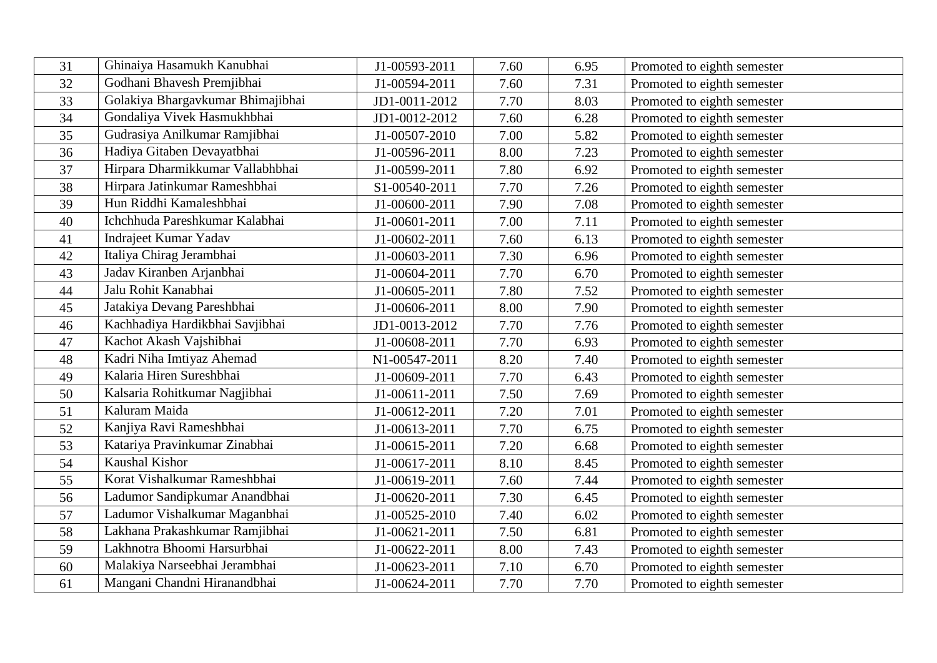| 31 | Ghinaiya Hasamukh Kanubhai        | J1-00593-2011 | 7.60 | 6.95 | Promoted to eighth semester |
|----|-----------------------------------|---------------|------|------|-----------------------------|
| 32 | Godhani Bhavesh Premjibhai        | J1-00594-2011 | 7.60 | 7.31 | Promoted to eighth semester |
| 33 | Golakiya Bhargavkumar Bhimajibhai | JD1-0011-2012 | 7.70 | 8.03 | Promoted to eighth semester |
| 34 | Gondaliya Vivek Hasmukhbhai       | JD1-0012-2012 | 7.60 | 6.28 | Promoted to eighth semester |
| 35 | Gudrasiya Anilkumar Ramjibhai     | J1-00507-2010 | 7.00 | 5.82 | Promoted to eighth semester |
| 36 | Hadiya Gitaben Devayatbhai        | J1-00596-2011 | 8.00 | 7.23 | Promoted to eighth semester |
| 37 | Hirpara Dharmikkumar Vallabhbhai  | J1-00599-2011 | 7.80 | 6.92 | Promoted to eighth semester |
| 38 | Hirpara Jatinkumar Rameshbhai     | S1-00540-2011 | 7.70 | 7.26 | Promoted to eighth semester |
| 39 | Hun Riddhi Kamaleshbhai           | J1-00600-2011 | 7.90 | 7.08 | Promoted to eighth semester |
| 40 | Ichchhuda Pareshkumar Kalabhai    | J1-00601-2011 | 7.00 | 7.11 | Promoted to eighth semester |
| 41 | Indrajeet Kumar Yadav             | J1-00602-2011 | 7.60 | 6.13 | Promoted to eighth semester |
| 42 | Italiya Chirag Jerambhai          | J1-00603-2011 | 7.30 | 6.96 | Promoted to eighth semester |
| 43 | Jadav Kiranben Arjanbhai          | J1-00604-2011 | 7.70 | 6.70 | Promoted to eighth semester |
| 44 | Jalu Rohit Kanabhai               | J1-00605-2011 | 7.80 | 7.52 | Promoted to eighth semester |
| 45 | Jatakiya Devang Pareshbhai        | J1-00606-2011 | 8.00 | 7.90 | Promoted to eighth semester |
| 46 | Kachhadiya Hardikbhai Savjibhai   | JD1-0013-2012 | 7.70 | 7.76 | Promoted to eighth semester |
| 47 | Kachot Akash Vajshibhai           | J1-00608-2011 | 7.70 | 6.93 | Promoted to eighth semester |
| 48 | Kadri Niha Imtiyaz Ahemad         | N1-00547-2011 | 8.20 | 7.40 | Promoted to eighth semester |
| 49 | Kalaria Hiren Sureshbhai          | J1-00609-2011 | 7.70 | 6.43 | Promoted to eighth semester |
| 50 | Kalsaria Rohitkumar Nagjibhai     | J1-00611-2011 | 7.50 | 7.69 | Promoted to eighth semester |
| 51 | Kaluram Maida                     | J1-00612-2011 | 7.20 | 7.01 | Promoted to eighth semester |
| 52 | Kanjiya Ravi Rameshbhai           | J1-00613-2011 | 7.70 | 6.75 | Promoted to eighth semester |
| 53 | Katariya Pravinkumar Zinabhai     | J1-00615-2011 | 7.20 | 6.68 | Promoted to eighth semester |
| 54 | Kaushal Kishor                    | J1-00617-2011 | 8.10 | 8.45 | Promoted to eighth semester |
| 55 | Korat Vishalkumar Rameshbhai      | J1-00619-2011 | 7.60 | 7.44 | Promoted to eighth semester |
| 56 | Ladumor Sandipkumar Anandbhai     | J1-00620-2011 | 7.30 | 6.45 | Promoted to eighth semester |
| 57 | Ladumor Vishalkumar Maganbhai     | J1-00525-2010 | 7.40 | 6.02 | Promoted to eighth semester |
| 58 | Lakhana Prakashkumar Ramjibhai    | J1-00621-2011 | 7.50 | 6.81 | Promoted to eighth semester |
| 59 | Lakhnotra Bhoomi Harsurbhai       | J1-00622-2011 | 8.00 | 7.43 | Promoted to eighth semester |
| 60 | Malakiya Narseebhai Jerambhai     | J1-00623-2011 | 7.10 | 6.70 | Promoted to eighth semester |
| 61 | Mangani Chandni Hiranandbhai      | J1-00624-2011 | 7.70 | 7.70 | Promoted to eighth semester |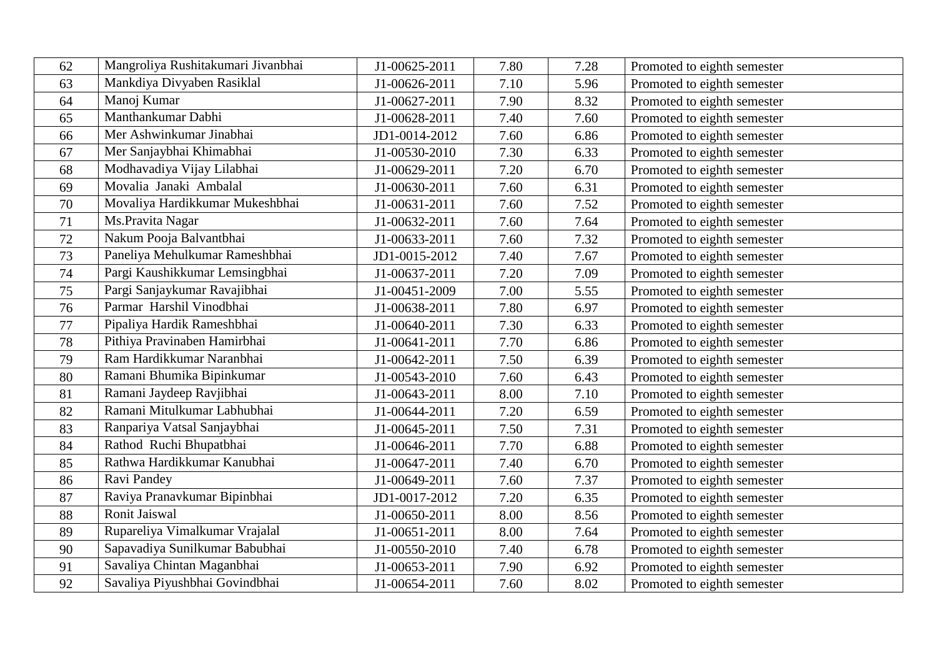| 62 | Mangroliya Rushitakumari Jivanbhai | J1-00625-2011 | 7.80 | 7.28 | Promoted to eighth semester |
|----|------------------------------------|---------------|------|------|-----------------------------|
| 63 | Mankdiya Divyaben Rasiklal         | J1-00626-2011 | 7.10 | 5.96 | Promoted to eighth semester |
| 64 | Manoj Kumar                        | J1-00627-2011 | 7.90 | 8.32 | Promoted to eighth semester |
| 65 | Manthankumar Dabhi                 | J1-00628-2011 | 7.40 | 7.60 | Promoted to eighth semester |
| 66 | Mer Ashwinkumar Jinabhai           | JD1-0014-2012 | 7.60 | 6.86 | Promoted to eighth semester |
| 67 | Mer Sanjaybhai Khimabhai           | J1-00530-2010 | 7.30 | 6.33 | Promoted to eighth semester |
| 68 | Modhavadiya Vijay Lilabhai         | J1-00629-2011 | 7.20 | 6.70 | Promoted to eighth semester |
| 69 | Movalia Janaki Ambalal             | J1-00630-2011 | 7.60 | 6.31 | Promoted to eighth semester |
| 70 | Movaliya Hardikkumar Mukeshbhai    | J1-00631-2011 | 7.60 | 7.52 | Promoted to eighth semester |
| 71 | Ms.Pravita Nagar                   | J1-00632-2011 | 7.60 | 7.64 | Promoted to eighth semester |
| 72 | Nakum Pooja Balvantbhai            | J1-00633-2011 | 7.60 | 7.32 | Promoted to eighth semester |
| 73 | Paneliya Mehulkumar Rameshbhai     | JD1-0015-2012 | 7.40 | 7.67 | Promoted to eighth semester |
| 74 | Pargi Kaushikkumar Lemsingbhai     | J1-00637-2011 | 7.20 | 7.09 | Promoted to eighth semester |
| 75 | Pargi Sanjaykumar Ravajibhai       | J1-00451-2009 | 7.00 | 5.55 | Promoted to eighth semester |
| 76 | Parmar Harshil Vinodbhai           | J1-00638-2011 | 7.80 | 6.97 | Promoted to eighth semester |
| 77 | Pipaliya Hardik Rameshbhai         | J1-00640-2011 | 7.30 | 6.33 | Promoted to eighth semester |
| 78 | Pithiya Pravinaben Hamirbhai       | J1-00641-2011 | 7.70 | 6.86 | Promoted to eighth semester |
| 79 | Ram Hardikkumar Naranbhai          | J1-00642-2011 | 7.50 | 6.39 | Promoted to eighth semester |
| 80 | Ramani Bhumika Bipinkumar          | J1-00543-2010 | 7.60 | 6.43 | Promoted to eighth semester |
| 81 | Ramani Jaydeep Ravjibhai           | J1-00643-2011 | 8.00 | 7.10 | Promoted to eighth semester |
| 82 | Ramani Mitulkumar Labhubhai        | J1-00644-2011 | 7.20 | 6.59 | Promoted to eighth semester |
| 83 | Ranpariya Vatsal Sanjaybhai        | J1-00645-2011 | 7.50 | 7.31 | Promoted to eighth semester |
| 84 | Rathod Ruchi Bhupatbhai            | J1-00646-2011 | 7.70 | 6.88 | Promoted to eighth semester |
| 85 | Rathwa Hardikkumar Kanubhai        | J1-00647-2011 | 7.40 | 6.70 | Promoted to eighth semester |
| 86 | Ravi Pandey                        | J1-00649-2011 | 7.60 | 7.37 | Promoted to eighth semester |
| 87 | Raviya Pranavkumar Bipinbhai       | JD1-0017-2012 | 7.20 | 6.35 | Promoted to eighth semester |
| 88 | Ronit Jaiswal                      | J1-00650-2011 | 8.00 | 8.56 | Promoted to eighth semester |
| 89 | Rupareliya Vimalkumar Vrajalal     | J1-00651-2011 | 8.00 | 7.64 | Promoted to eighth semester |
| 90 | Sapavadiya Sunilkumar Babubhai     | J1-00550-2010 | 7.40 | 6.78 | Promoted to eighth semester |
| 91 | Savaliya Chintan Maganbhai         | J1-00653-2011 | 7.90 | 6.92 | Promoted to eighth semester |
| 92 | Savaliya Piyushbhai Govindbhai     | J1-00654-2011 | 7.60 | 8.02 | Promoted to eighth semester |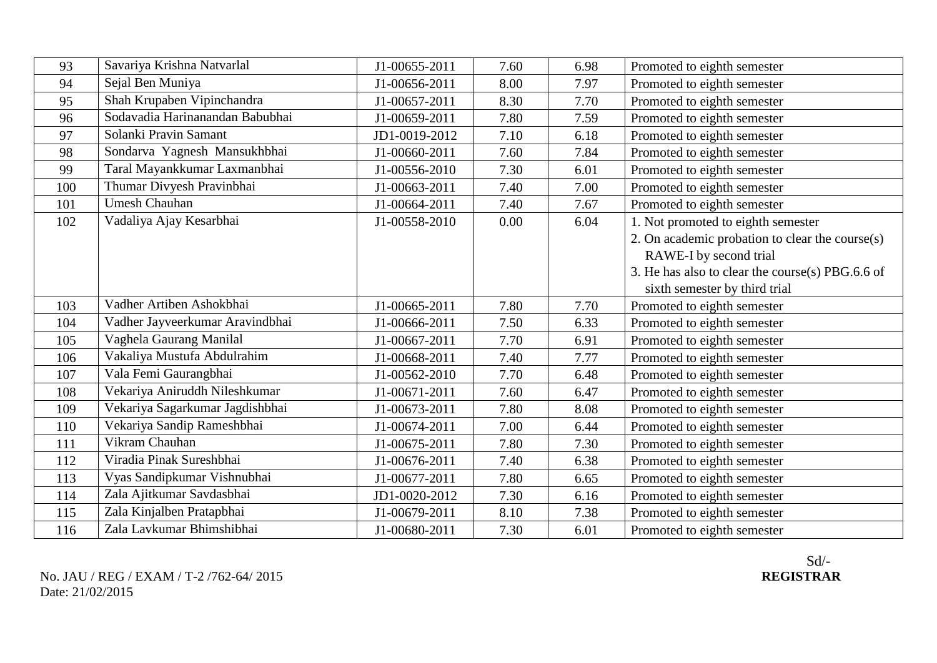| 93  | Savariya Krishna Natvarlal      | J1-00655-2011 | 7.60 | 6.98 | Promoted to eighth semester                      |
|-----|---------------------------------|---------------|------|------|--------------------------------------------------|
| 94  | Sejal Ben Muniya                | J1-00656-2011 | 8.00 | 7.97 | Promoted to eighth semester                      |
| 95  | Shah Krupaben Vipinchandra      | J1-00657-2011 | 8.30 | 7.70 | Promoted to eighth semester                      |
| 96  | Sodavadia Harinanandan Babubhai | J1-00659-2011 | 7.80 | 7.59 | Promoted to eighth semester                      |
| 97  | Solanki Pravin Samant           | JD1-0019-2012 | 7.10 | 6.18 | Promoted to eighth semester                      |
| 98  | Sondarva Yagnesh Mansukhbhai    | J1-00660-2011 | 7.60 | 7.84 | Promoted to eighth semester                      |
| 99  | Taral Mayankkumar Laxmanbhai    | J1-00556-2010 | 7.30 | 6.01 | Promoted to eighth semester                      |
| 100 | Thumar Divyesh Pravinbhai       | J1-00663-2011 | 7.40 | 7.00 | Promoted to eighth semester                      |
| 101 | <b>Umesh Chauhan</b>            | J1-00664-2011 | 7.40 | 7.67 | Promoted to eighth semester                      |
| 102 | Vadaliya Ajay Kesarbhai         | J1-00558-2010 | 0.00 | 6.04 | 1. Not promoted to eighth semester               |
|     |                                 |               |      |      | 2. On academic probation to clear the course(s)  |
|     |                                 |               |      |      | RAWE-I by second trial                           |
|     |                                 |               |      |      | 3. He has also to clear the course(s) PBG.6.6 of |
|     |                                 |               |      |      | sixth semester by third trial                    |
| 103 | Vadher Artiben Ashokbhai        | J1-00665-2011 | 7.80 | 7.70 | Promoted to eighth semester                      |
| 104 | Vadher Jayveerkumar Aravindbhai | J1-00666-2011 | 7.50 | 6.33 | Promoted to eighth semester                      |
| 105 | Vaghela Gaurang Manilal         | J1-00667-2011 | 7.70 | 6.91 | Promoted to eighth semester                      |
| 106 | Vakaliya Mustufa Abdulrahim     | J1-00668-2011 | 7.40 | 7.77 | Promoted to eighth semester                      |
| 107 | Vala Femi Gaurangbhai           | J1-00562-2010 | 7.70 | 6.48 | Promoted to eighth semester                      |
| 108 | Vekariya Aniruddh Nileshkumar   | J1-00671-2011 | 7.60 | 6.47 | Promoted to eighth semester                      |
| 109 | Vekariya Sagarkumar Jagdishbhai | J1-00673-2011 | 7.80 | 8.08 | Promoted to eighth semester                      |
| 110 | Vekariya Sandip Rameshbhai      | J1-00674-2011 | 7.00 | 6.44 | Promoted to eighth semester                      |
| 111 | Vikram Chauhan                  | J1-00675-2011 | 7.80 | 7.30 | Promoted to eighth semester                      |
| 112 | Viradia Pinak Sureshbhai        | J1-00676-2011 | 7.40 | 6.38 | Promoted to eighth semester                      |
| 113 | Vyas Sandipkumar Vishnubhai     | J1-00677-2011 | 7.80 | 6.65 | Promoted to eighth semester                      |
| 114 | Zala Ajitkumar Savdasbhai       | JD1-0020-2012 | 7.30 | 6.16 | Promoted to eighth semester                      |
| 115 | Zala Kinjalben Pratapbhai       | J1-00679-2011 | 8.10 | 7.38 | Promoted to eighth semester                      |
| 116 | Zala Lavkumar Bhimshibhai       | J1-00680-2011 | 7.30 | 6.01 | Promoted to eighth semester                      |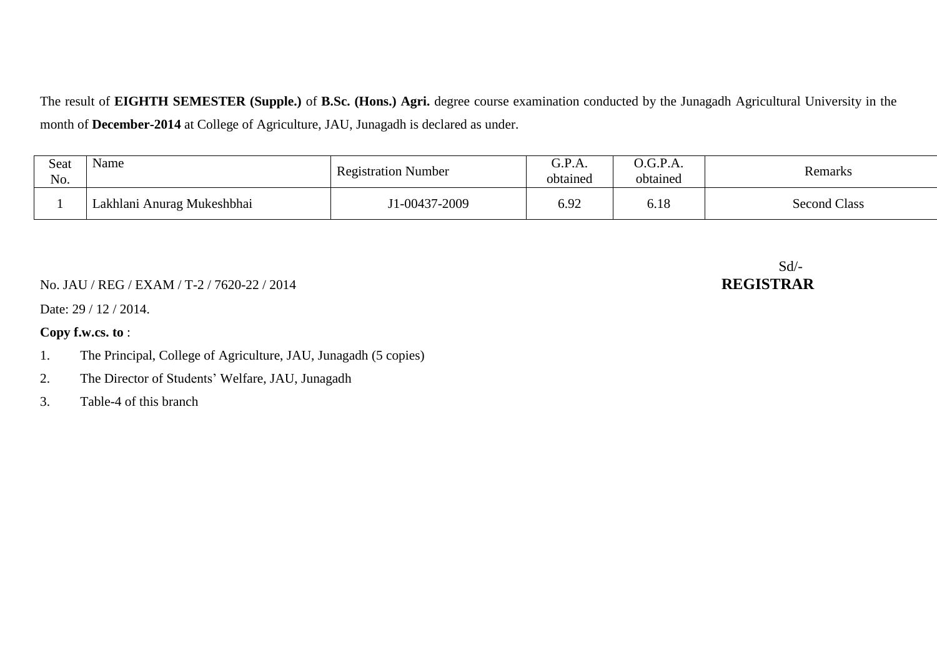The result of **EIGHTH SEMESTER (Supple.)** of **B.Sc. (Hons.) Agri.** degree course examination conducted by the Junagadh Agricultural University in the month of **December-2014** at College of Agriculture, JAU, Junagadh is declared as under.

| Seat<br>No. | Name                       | <b>Registration Number</b> | G.P.A.<br>obtained | $\Omega$ .G.P.A.<br>obtained | Remarks             |
|-------------|----------------------------|----------------------------|--------------------|------------------------------|---------------------|
|             | Lakhlani Anurag Mukeshbhai | $1-00437-2009$             | 6.92               | 6.18                         | <b>Second Class</b> |

#### No. JAU / REG / EXAM / T-2 / 7620-22 / 2014 **REGISTRAR**

Date: 29 / 12 / 2014.

#### **Copy f.w.cs. to** :

- 1. The Principal, College of Agriculture, JAU, Junagadh (5 copies)
- 2. The Director of Students' Welfare, JAU, Junagadh
- 3. Table-4 of this branch

# Sd/-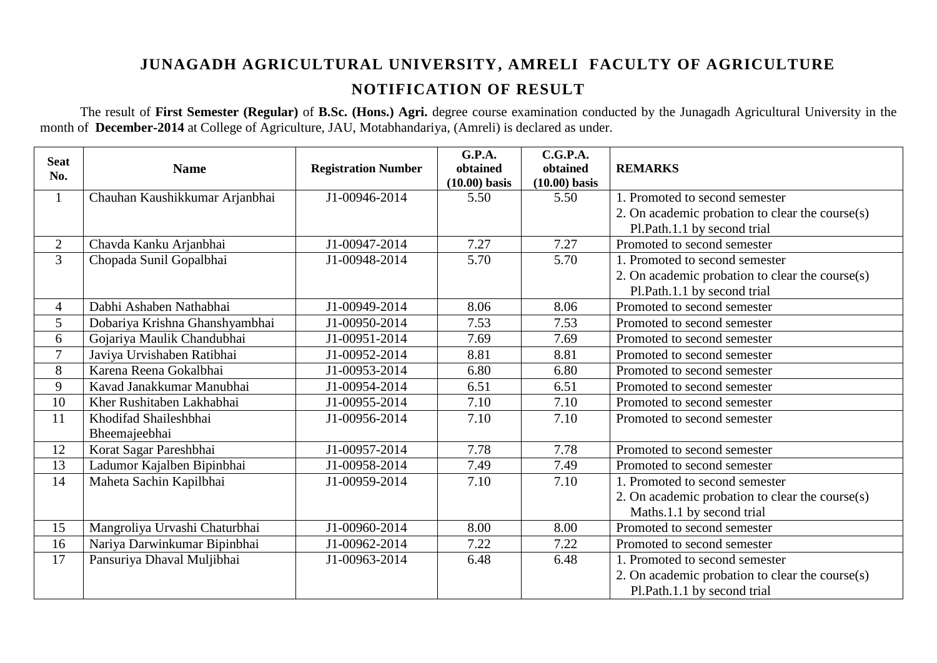### **JUNAGADH AGRICULTURAL UNIVERSITY, AMRELI FACULTY OF AGRICULTURE NOTIFICATION OF RESULT**

The result of **First Semester (Regular)** of **B.Sc. (Hons.) Agri.** degree course examination conducted by the Junagadh Agricultural University in the month of **December-2014** at College of Agriculture, JAU, Motabhandariya, (Amreli) is declared as under.

| <b>Seat</b>    | <b>Name</b>                    | <b>Registration Number</b> | G.P.A.<br>obtained | C.G.P.A.<br>obtained | <b>REMARKS</b>                                     |
|----------------|--------------------------------|----------------------------|--------------------|----------------------|----------------------------------------------------|
| No.            |                                |                            | $(10.00)$ basis    | $(10.00)$ basis      |                                                    |
| $\mathbf{1}$   | Chauhan Kaushikkumar Arjanbhai | J1-00946-2014              | 5.50               | 5.50                 | 1. Promoted to second semester                     |
|                |                                |                            |                    |                      | 2. On academic probation to clear the course $(s)$ |
|                |                                |                            |                    |                      | Pl.Path.1.1 by second trial                        |
| $\mathbf{2}$   | Chavda Kanku Arjanbhai         | J1-00947-2014              | 7.27               | 7.27                 | Promoted to second semester                        |
| 3              | Chopada Sunil Gopalbhai        | J1-00948-2014              | 5.70               | 5.70                 | 1. Promoted to second semester                     |
|                |                                |                            |                    |                      | 2. On academic probation to clear the course(s)    |
|                |                                |                            |                    |                      | Pl.Path.1.1 by second trial                        |
| $\overline{4}$ | Dabhi Ashaben Nathabhai        | J1-00949-2014              | 8.06               | 8.06                 | Promoted to second semester                        |
| 5              | Dobariya Krishna Ghanshyambhai | J1-00950-2014              | 7.53               | 7.53                 | Promoted to second semester                        |
| 6              | Gojariya Maulik Chandubhai     | J1-00951-2014              | 7.69               | 7.69                 | Promoted to second semester                        |
| $\overline{7}$ | Javiya Urvishaben Ratibhai     | J1-00952-2014              | 8.81               | 8.81                 | Promoted to second semester                        |
| 8              | Karena Reena Gokalbhai         | J1-00953-2014              | 6.80               | 6.80                 | Promoted to second semester                        |
| 9              | Kavad Janakkumar Manubhai      | J1-00954-2014              | 6.51               | 6.51                 | Promoted to second semester                        |
| 10             | Kher Rushitaben Lakhabhai      | J1-00955-2014              | 7.10               | 7.10                 | Promoted to second semester                        |
| 11             | Khodifad Shaileshbhai          | J1-00956-2014              | 7.10               | 7.10                 | Promoted to second semester                        |
|                | Bheemajeebhai                  |                            |                    |                      |                                                    |
| 12             | Korat Sagar Pareshbhai         | J1-00957-2014              | 7.78               | 7.78                 | Promoted to second semester                        |
| 13             | Ladumor Kajalben Bipinbhai     | J1-00958-2014              | 7.49               | 7.49                 | Promoted to second semester                        |
| 14             | Maheta Sachin Kapilbhai        | J1-00959-2014              | 7.10               | 7.10                 | 1. Promoted to second semester                     |
|                |                                |                            |                    |                      | 2. On academic probation to clear the course(s)    |
|                |                                |                            |                    |                      | Maths.1.1 by second trial                          |
| 15             | Mangroliya Urvashi Chaturbhai  | J1-00960-2014              | 8.00               | 8.00                 | Promoted to second semester                        |
| 16             | Nariya Darwinkumar Bipinbhai   | J1-00962-2014              | 7.22               | 7.22                 | Promoted to second semester                        |
| 17             | Pansuriya Dhaval Muljibhai     | J1-00963-2014              | 6.48               | 6.48                 | 1. Promoted to second semester                     |
|                |                                |                            |                    |                      | 2. On academic probation to clear the course(s)    |
|                |                                |                            |                    |                      | Pl.Path.1.1 by second trial                        |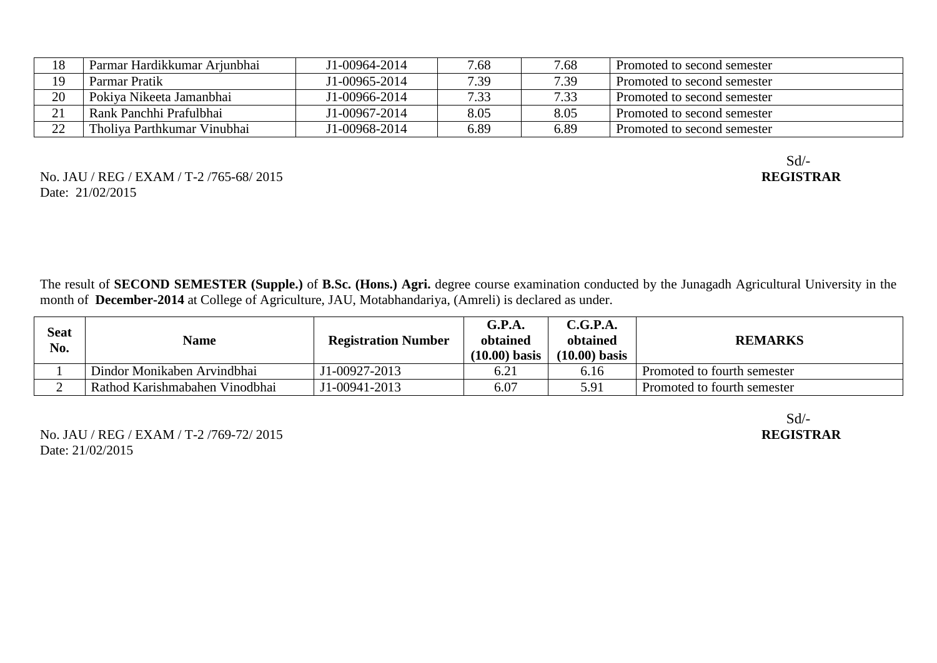| 18 | Parmar Hardikkumar Arjunbhai | J1-00964-2014 | 7.68 | 7.68 | Promoted to second semester |
|----|------------------------------|---------------|------|------|-----------------------------|
| 19 | Parmar Pratik                | J1-00965-2014 | 7.39 | 7.39 | Promoted to second semester |
| 20 | Pokiya Nikeeta Jamanbhai     | J1-00966-2014 | 7.33 | 7.33 | Promoted to second semester |
| 21 | Rank Panchhi Prafulbhai      | J1-00967-2014 | 8.05 | 8.05 | Promoted to second semester |
| 22 | Tholiya Parthkumar Vinubhai  | J1-00968-2014 | 6.89 | 6.89 | Promoted to second semester |

No. JAU / REG / EXAM / T-2 /765-68/ 2015 Date: 21/02/2015

Sd/-<br>REGISTRAR

The result of **SECOND SEMESTER (Supple.)** of **B.Sc. (Hons.) Agri.** degree course examination conducted by the Junagadh Agricultural University in the month of **December-2014** at College of Agriculture, JAU, Motabhandariya, (Amreli) is declared as under.

| Seat<br>No. | <b>Name</b>                    | <b>Registration Number</b> | G.P.A.<br>obtained<br>$(10.00)$ basis | C.G.P.A.<br>obtained<br>$(10.00)$ basis | <b>REMARKS</b>              |
|-------------|--------------------------------|----------------------------|---------------------------------------|-----------------------------------------|-----------------------------|
|             | Dindor Monikaben Arvindbhai    | J1-00927-2013              | 6.21                                  | 6.16                                    | Promoted to fourth semester |
|             | Rathod Karishmabahen Vinodbhai | J1-00941-2013              | 6.07                                  | 5.91                                    | Promoted to fourth semester |

No. JAU / REG / EXAM / T-2 /769-72/ 2015 Date: 21/02/2015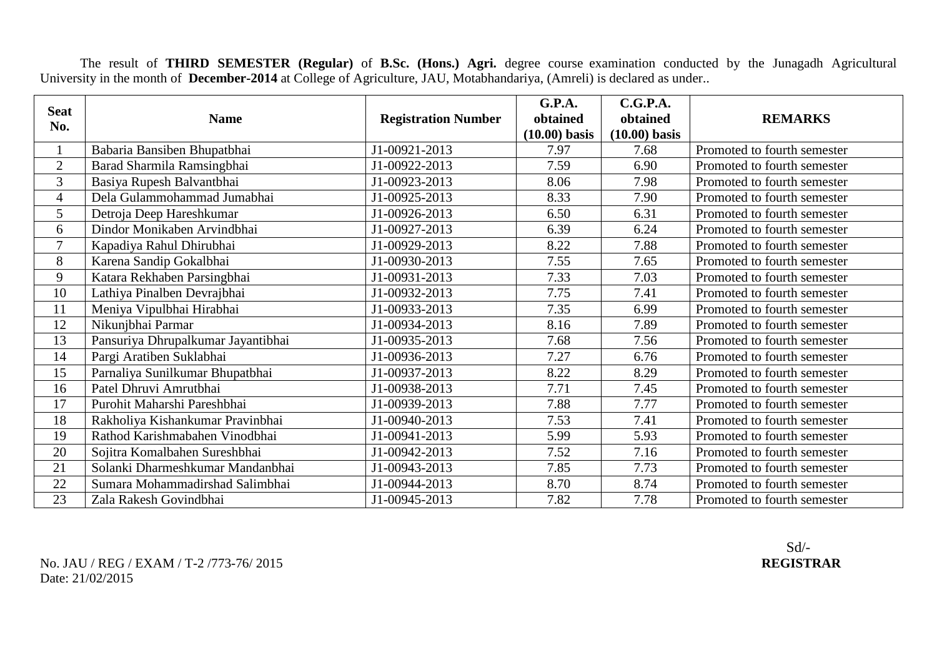The result of **THIRD SEMESTER (Regular)** of **B.Sc. (Hons.) Agri.** degree course examination conducted by the Junagadh Agricultural University in the month of **December-2014** at College of Agriculture, JAU, Motabhandariya, (Amreli) is declared as under..

| <b>Seat</b><br>No. | <b>Name</b>                        | <b>Registration Number</b> | G.P.A.<br>obtained<br>$(10.00)$ basis | C.G.P.A.<br>obtained<br>$(10.00)$ basis | <b>REMARKS</b>              |
|--------------------|------------------------------------|----------------------------|---------------------------------------|-----------------------------------------|-----------------------------|
|                    | Babaria Bansiben Bhupatbhai        | J1-00921-2013              | 7.97                                  | 7.68                                    | Promoted to fourth semester |
| $\overline{2}$     | Barad Sharmila Ramsingbhai         | J1-00922-2013              | 7.59                                  | 6.90                                    | Promoted to fourth semester |
| 3                  | Basiya Rupesh Balvantbhai          | J1-00923-2013              | 8.06                                  | 7.98                                    | Promoted to fourth semester |
| $\overline{4}$     | Dela Gulammohammad Jumabhai        | J1-00925-2013              | 8.33                                  | 7.90                                    | Promoted to fourth semester |
| 5                  | Detroja Deep Hareshkumar           | J1-00926-2013              | 6.50                                  | 6.31                                    | Promoted to fourth semester |
| 6                  | Dindor Monikaben Arvindbhai        | J1-00927-2013              | 6.39                                  | 6.24                                    | Promoted to fourth semester |
| 7                  | Kapadiya Rahul Dhirubhai           | J1-00929-2013              | 8.22                                  | 7.88                                    | Promoted to fourth semester |
| 8                  | Karena Sandip Gokalbhai            | J1-00930-2013              | 7.55                                  | 7.65                                    | Promoted to fourth semester |
| 9                  | Katara Rekhaben Parsingbhai        | J1-00931-2013              | 7.33                                  | 7.03                                    | Promoted to fourth semester |
| 10                 | Lathiya Pinalben Devrajbhai        | J1-00932-2013              | 7.75                                  | 7.41                                    | Promoted to fourth semester |
| 11                 | Meniya Vipulbhai Hirabhai          | J1-00933-2013              | 7.35                                  | 6.99                                    | Promoted to fourth semester |
| 12                 | Nikunjbhai Parmar                  | J1-00934-2013              | 8.16                                  | 7.89                                    | Promoted to fourth semester |
| 13                 | Pansuriya Dhrupalkumar Jayantibhai | J1-00935-2013              | 7.68                                  | 7.56                                    | Promoted to fourth semester |
| 14                 | Pargi Aratiben Suklabhai           | J1-00936-2013              | 7.27                                  | 6.76                                    | Promoted to fourth semester |
| 15                 | Parnaliya Sunilkumar Bhupatbhai    | J1-00937-2013              | 8.22                                  | 8.29                                    | Promoted to fourth semester |
| 16                 | Patel Dhruvi Amrutbhai             | J1-00938-2013              | 7.71                                  | 7.45                                    | Promoted to fourth semester |
| 17                 | Purohit Maharshi Pareshbhai        | J1-00939-2013              | 7.88                                  | 7.77                                    | Promoted to fourth semester |
| 18                 | Rakholiya Kishankumar Pravinbhai   | J1-00940-2013              | 7.53                                  | 7.41                                    | Promoted to fourth semester |
| 19                 | Rathod Karishmabahen Vinodbhai     | J1-00941-2013              | 5.99                                  | 5.93                                    | Promoted to fourth semester |
| 20                 | Sojitra Komalbahen Sureshbhai      | J1-00942-2013              | 7.52                                  | 7.16                                    | Promoted to fourth semester |
| 21                 | Solanki Dharmeshkumar Mandanbhai   | J1-00943-2013              | 7.85                                  | 7.73                                    | Promoted to fourth semester |
| 22                 | Sumara Mohammadirshad Salimbhai    | J1-00944-2013              | 8.70                                  | 8.74                                    | Promoted to fourth semester |
| 23                 | Zala Rakesh Govindbhai             | J1-00945-2013              | 7.82                                  | 7.78                                    | Promoted to fourth semester |

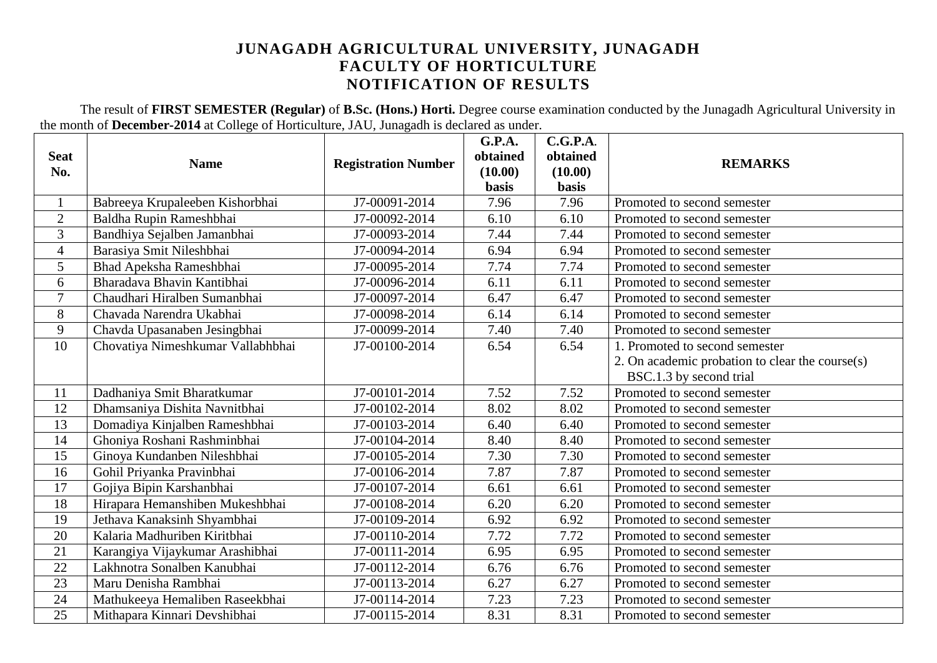#### **JUNAGADH AGRICULTURAL UNIVERSITY, JUNAGADH FACULTY OF HORTICULTURE NOTIFICATION OF RESULTS**

The result of **FIRST SEMESTER (Regular)** of **B.Sc. (Hons.) Horti.** Degree course examination conducted by the Junagadh Agricultural University in the month of **December-2014** at College of Horticulture, JAU, Junagadh is declared as under.

| <b>Seat</b>      | <b>Name</b>                       | <b>Registration Number</b> | G.P.A.<br>obtained      | C.G.P.A.<br>obtained    | <b>REMARKS</b>                                  |
|------------------|-----------------------------------|----------------------------|-------------------------|-------------------------|-------------------------------------------------|
| No.              |                                   |                            | (10.00)<br><b>basis</b> | (10.00)<br><b>basis</b> |                                                 |
| $\mathbf{1}$     | Babreeya Krupaleeben Kishorbhai   | J7-00091-2014              | 7.96                    | 7.96                    | Promoted to second semester                     |
| $\overline{2}$   | Baldha Rupin Rameshbhai           | J7-00092-2014              | 6.10                    | 6.10                    | Promoted to second semester                     |
| 3                | Bandhiya Sejalben Jamanbhai       | J7-00093-2014              | 7.44                    | 7.44                    | Promoted to second semester                     |
| $\overline{4}$   | Barasiya Smit Nileshbhai          | J7-00094-2014              | 6.94                    | 6.94                    | Promoted to second semester                     |
| 5                | Bhad Apeksha Rameshbhai           | J7-00095-2014              | 7.74                    | 7.74                    | Promoted to second semester                     |
| 6                | Bharadava Bhavin Kantibhai        | J7-00096-2014              | 6.11                    | 6.11                    | Promoted to second semester                     |
| $\overline{7}$   | Chaudhari Hiralben Sumanbhai      | J7-00097-2014              | 6.47                    | 6.47                    | Promoted to second semester                     |
| 8                | Chavada Narendra Ukabhai          | J7-00098-2014              | 6.14                    | 6.14                    | Promoted to second semester                     |
| $\boldsymbol{9}$ | Chavda Upasanaben Jesingbhai      | J7-00099-2014              | 7.40                    | 7.40                    | Promoted to second semester                     |
| 10               | Chovatiya Nimeshkumar Vallabhbhai | J7-00100-2014              | 6.54                    | 6.54                    | 1. Promoted to second semester                  |
|                  |                                   |                            |                         |                         | 2. On academic probation to clear the course(s) |
|                  |                                   |                            |                         |                         | BSC.1.3 by second trial                         |
| 11               | Dadhaniya Smit Bharatkumar        | J7-00101-2014              | 7.52                    | 7.52                    | Promoted to second semester                     |
| 12               | Dhamsaniya Dishita Navnitbhai     | J7-00102-2014              | 8.02                    | 8.02                    | Promoted to second semester                     |
| 13               | Domadiya Kinjalben Rameshbhai     | J7-00103-2014              | 6.40                    | 6.40                    | Promoted to second semester                     |
| 14               | Ghoniya Roshani Rashminbhai       | J7-00104-2014              | 8.40                    | 8.40                    | Promoted to second semester                     |
| 15               | Ginoya Kundanben Nileshbhai       | J7-00105-2014              | 7.30                    | 7.30                    | Promoted to second semester                     |
| 16               | Gohil Priyanka Pravinbhai         | J7-00106-2014              | 7.87                    | 7.87                    | Promoted to second semester                     |
| 17               | Gojiya Bipin Karshanbhai          | J7-00107-2014              | 6.61                    | 6.61                    | Promoted to second semester                     |
| 18               | Hirapara Hemanshiben Mukeshbhai   | J7-00108-2014              | 6.20                    | 6.20                    | Promoted to second semester                     |
| 19               | Jethava Kanaksinh Shyambhai       | J7-00109-2014              | 6.92                    | 6.92                    | Promoted to second semester                     |
| 20               | Kalaria Madhuriben Kiritbhai      | J7-00110-2014              | 7.72                    | 7.72                    | Promoted to second semester                     |
| 21               | Karangiya Vijaykumar Arashibhai   | J7-00111-2014              | 6.95                    | 6.95                    | Promoted to second semester                     |
| 22               | Lakhnotra Sonalben Kanubhai       | J7-00112-2014              | 6.76                    | 6.76                    | Promoted to second semester                     |
| 23               | Maru Denisha Rambhai              | J7-00113-2014              | 6.27                    | 6.27                    | Promoted to second semester                     |
| 24               | Mathukeeya Hemaliben Raseekbhai   | J7-00114-2014              | 7.23                    | 7.23                    | Promoted to second semester                     |
| 25               | Mithapara Kinnari Devshibhai      | J7-00115-2014              | 8.31                    | 8.31                    | Promoted to second semester                     |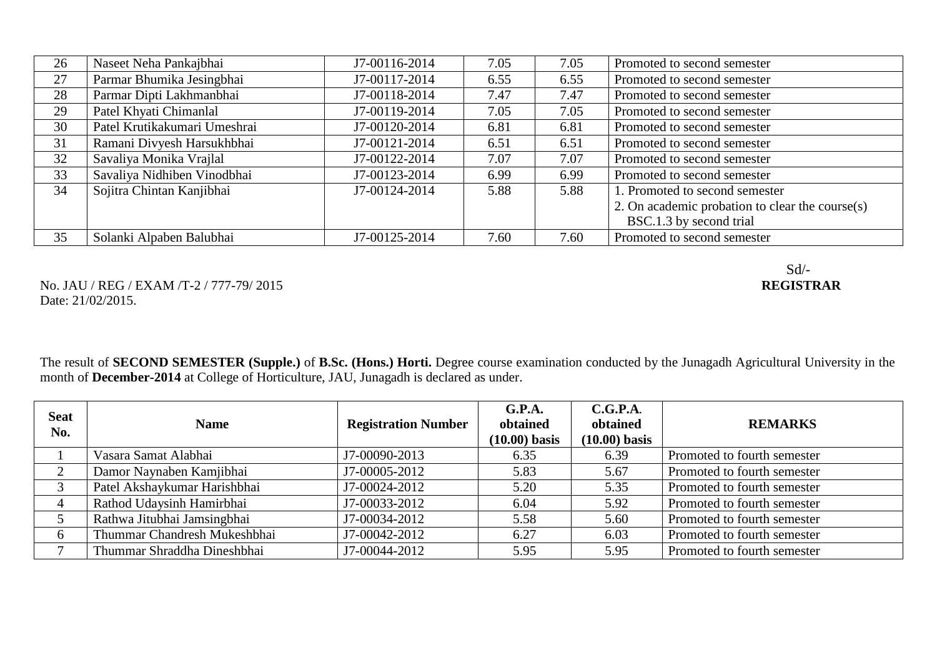| 26 | Naseet Neha Pankajbhai       | J7-00116-2014 | 7.05 | 7.05 | Promoted to second semester                     |
|----|------------------------------|---------------|------|------|-------------------------------------------------|
| 27 | Parmar Bhumika Jesingbhai    | J7-00117-2014 | 6.55 | 6.55 | Promoted to second semester                     |
| 28 | Parmar Dipti Lakhmanbhai     | J7-00118-2014 | 7.47 | 7.47 | Promoted to second semester                     |
| 29 | Patel Khyati Chimanlal       | J7-00119-2014 | 7.05 | 7.05 | Promoted to second semester                     |
| 30 | Patel Krutikakumari Umeshrai | J7-00120-2014 | 6.81 | 6.81 | Promoted to second semester                     |
| 31 | Ramani Divyesh Harsukhbhai   | J7-00121-2014 | 6.51 | 6.51 | Promoted to second semester                     |
| 32 | Savaliya Monika Vrajlal      | J7-00122-2014 | 7.07 | 7.07 | Promoted to second semester                     |
| 33 | Savaliya Nidhiben Vinodbhai  | J7-00123-2014 | 6.99 | 6.99 | Promoted to second semester                     |
| 34 | Sojitra Chintan Kanjibhai    | J7-00124-2014 | 5.88 | 5.88 | 1. Promoted to second semester                  |
|    |                              |               |      |      | 2. On academic probation to clear the course(s) |
|    |                              |               |      |      | BSC.1.3 by second trial                         |
| 35 | Solanki Alpaben Balubhai     | J7-00125-2014 | 7.60 | 7.60 | Promoted to second semester                     |

No. JAU / REG / EXAM /T-2 / 777-79/ 2015 Date: 21/02/2015.

The result of **SECOND SEMESTER (Supple.)** of **B.Sc. (Hons.) Horti.** Degree course examination conducted by the Junagadh Agricultural University in the month of **December-2014** at College of Horticulture, JAU, Junagadh is declared as under.

| <b>Seat</b><br>No. | <b>Name</b>                  | <b>Registration Number</b> | G.P.A.<br>obtained<br>$(10.00)$ basis | C.G.P.A.<br>obtained<br>$(10.00)$ basis | <b>REMARKS</b>              |
|--------------------|------------------------------|----------------------------|---------------------------------------|-----------------------------------------|-----------------------------|
|                    | Vasara Samat Alabhai         | J7-00090-2013              | 6.35                                  | 6.39                                    | Promoted to fourth semester |
|                    | Damor Naynaben Kamjibhai     | J7-00005-2012              | 5.83                                  | 5.67                                    | Promoted to fourth semester |
|                    | Patel Akshaykumar Harishbhai | J7-00024-2012              | 5.20                                  | 5.35                                    | Promoted to fourth semester |
| 4                  | Rathod Udaysinh Hamirbhai    | J7-00033-2012              | 6.04                                  | 5.92                                    | Promoted to fourth semester |
|                    | Rathwa Jitubhai Jamsingbhai  | J7-00034-2012              | 5.58                                  | 5.60                                    | Promoted to fourth semester |
| $\mathfrak b$      | Thummar Chandresh Mukeshbhai | J7-00042-2012              | 6.27                                  | 6.03                                    | Promoted to fourth semester |
|                    | Thummar Shraddha Dineshbhai  | J7-00044-2012              | 5.95                                  | 5.95                                    | Promoted to fourth semester |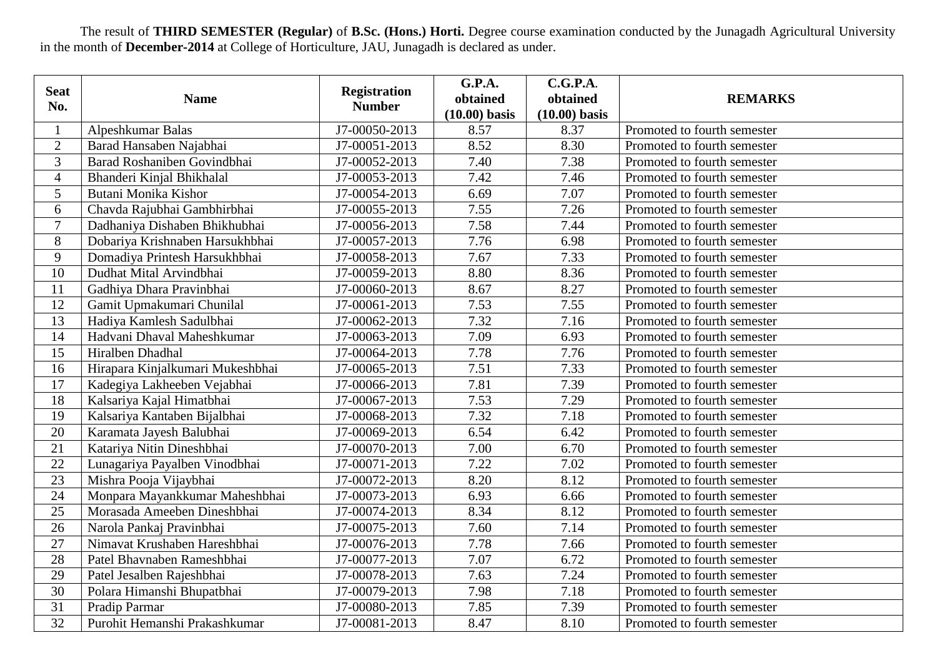The result of **THIRD SEMESTER (Regular)** of **B.Sc. (Hons.) Horti.** Degree course examination conducted by the Junagadh Agricultural University in the month of **December-2014** at College of Horticulture, JAU, Junagadh is declared as under.

| <b>Seat</b>     |                                  | <b>Registration</b> | <b>G.P.A.</b>   | C.G.P.A.        |                             |
|-----------------|----------------------------------|---------------------|-----------------|-----------------|-----------------------------|
| No.             | <b>Name</b>                      | <b>Number</b>       | obtained        | obtained        | <b>REMARKS</b>              |
|                 |                                  |                     | $(10.00)$ basis | $(10.00)$ basis |                             |
|                 | Alpeshkumar Balas                | J7-00050-2013       | 8.57            | 8.37            | Promoted to fourth semester |
| $\overline{2}$  | Barad Hansaben Najabhai          | J7-00051-2013       | 8.52            | 8.30            | Promoted to fourth semester |
| 3               | Barad Roshaniben Govindbhai      | J7-00052-2013       | 7.40            | 7.38            | Promoted to fourth semester |
| $\overline{4}$  | Bhanderi Kinjal Bhikhalal        | J7-00053-2013       | 7.42            | 7.46            | Promoted to fourth semester |
| 5               | Butani Monika Kishor             | J7-00054-2013       | 6.69            | 7.07            | Promoted to fourth semester |
| 6               | Chavda Rajubhai Gambhirbhai      | J7-00055-2013       | 7.55            | 7.26            | Promoted to fourth semester |
| $\overline{7}$  | Dadhaniya Dishaben Bhikhubhai    | J7-00056-2013       | 7.58            | 7.44            | Promoted to fourth semester |
| 8               | Dobariya Krishnaben Harsukhbhai  | J7-00057-2013       | 7.76            | 6.98            | Promoted to fourth semester |
| 9               | Domadiya Printesh Harsukhbhai    | J7-00058-2013       | 7.67            | 7.33            | Promoted to fourth semester |
| 10              | Dudhat Mital Arvindbhai          | J7-00059-2013       | 8.80            | 8.36            | Promoted to fourth semester |
| 11              | Gadhiya Dhara Pravinbhai         | J7-00060-2013       | 8.67            | 8.27            | Promoted to fourth semester |
| 12              | Gamit Upmakumari Chunilal        | J7-00061-2013       | 7.53            | 7.55            | Promoted to fourth semester |
| 13              | Hadiya Kamlesh Sadulbhai         | J7-00062-2013       | 7.32            | 7.16            | Promoted to fourth semester |
| 14              | Hadvani Dhaval Maheshkumar       | J7-00063-2013       | 7.09            | 6.93            | Promoted to fourth semester |
| 15              | Hiralben Dhadhal                 | J7-00064-2013       | 7.78            | 7.76            | Promoted to fourth semester |
| 16              | Hirapara Kinjalkumari Mukeshbhai | J7-00065-2013       | 7.51            | 7.33            | Promoted to fourth semester |
| 17              | Kadegiya Lakheeben Vejabhai      | J7-00066-2013       | 7.81            | 7.39            | Promoted to fourth semester |
| 18              | Kalsariya Kajal Himatbhai        | J7-00067-2013       | 7.53            | 7.29            | Promoted to fourth semester |
| 19              | Kalsariya Kantaben Bijalbhai     | J7-00068-2013       | 7.32            | 7.18            | Promoted to fourth semester |
| 20              | Karamata Jayesh Balubhai         | J7-00069-2013       | 6.54            | 6.42            | Promoted to fourth semester |
| 21              | Katariya Nitin Dineshbhai        | J7-00070-2013       | 7.00            | 6.70            | Promoted to fourth semester |
| 22              | Lunagariya Payalben Vinodbhai    | J7-00071-2013       | 7.22            | 7.02            | Promoted to fourth semester |
| 23              | Mishra Pooja Vijaybhai           | J7-00072-2013       | 8.20            | 8.12            | Promoted to fourth semester |
| 24              | Monpara Mayankkumar Maheshbhai   | J7-00073-2013       | 6.93            | 6.66            | Promoted to fourth semester |
| 25              | Morasada Ameeben Dineshbhai      | J7-00074-2013       | 8.34            | 8.12            | Promoted to fourth semester |
| 26              | Narola Pankaj Pravinbhai         | J7-00075-2013       | 7.60            | 7.14            | Promoted to fourth semester |
| 27              | Nimavat Krushaben Hareshbhai     | J7-00076-2013       | 7.78            | 7.66            | Promoted to fourth semester |
| 28              | Patel Bhavnaben Rameshbhai       | J7-00077-2013       | 7.07            | 6.72            | Promoted to fourth semester |
| 29              | Patel Jesalben Rajeshbhai        | J7-00078-2013       | 7.63            | 7.24            | Promoted to fourth semester |
| 30              | Polara Himanshi Bhupatbhai       | J7-00079-2013       | 7.98            | 7.18            | Promoted to fourth semester |
| 31              | Pradip Parmar                    | J7-00080-2013       | 7.85            | 7.39            | Promoted to fourth semester |
| $\overline{32}$ | Purohit Hemanshi Prakashkumar    | J7-00081-2013       | 8.47            | 8.10            | Promoted to fourth semester |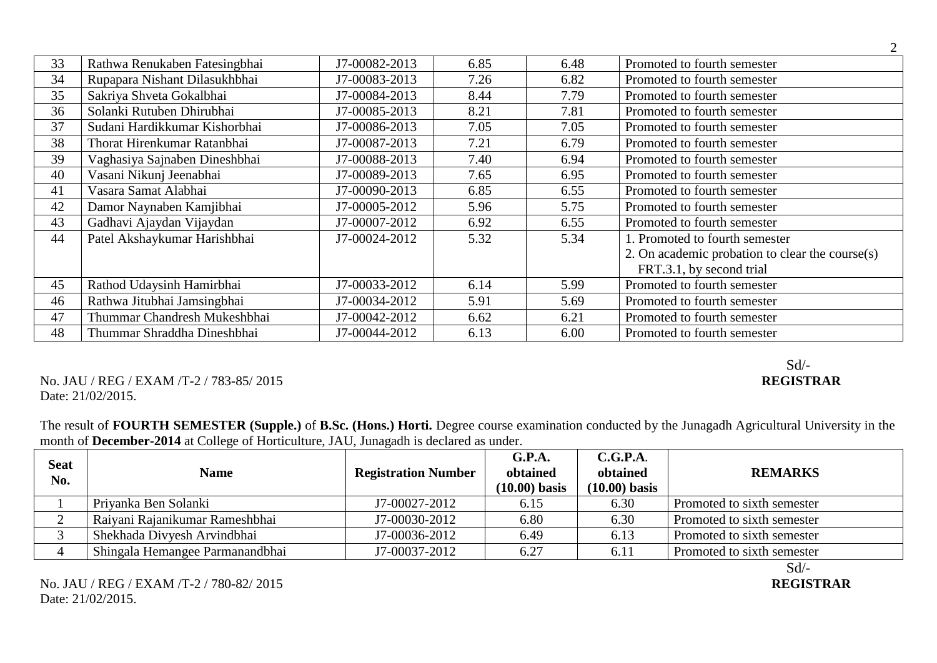| 33 | Rathwa Renukaben Fatesingbhai | J7-00082-2013 | 6.85 | 6.48 | Promoted to fourth semester                     |
|----|-------------------------------|---------------|------|------|-------------------------------------------------|
| 34 | Rupapara Nishant Dilasukhbhai | J7-00083-2013 | 7.26 | 6.82 | Promoted to fourth semester                     |
| 35 | Sakriya Shveta Gokalbhai      | J7-00084-2013 | 8.44 | 7.79 | Promoted to fourth semester                     |
| 36 | Solanki Rutuben Dhirubhai     | J7-00085-2013 | 8.21 | 7.81 | Promoted to fourth semester                     |
| 37 | Sudani Hardikkumar Kishorbhai | J7-00086-2013 | 7.05 | 7.05 | Promoted to fourth semester                     |
| 38 | Thorat Hirenkumar Ratanbhai   | J7-00087-2013 | 7.21 | 6.79 | Promoted to fourth semester                     |
| 39 | Vaghasiya Sajnaben Dineshbhai | J7-00088-2013 | 7.40 | 6.94 | Promoted to fourth semester                     |
| 40 | Vasani Nikunj Jeenabhai       | J7-00089-2013 | 7.65 | 6.95 | Promoted to fourth semester                     |
| 41 | Vasara Samat Alabhai          | J7-00090-2013 | 6.85 | 6.55 | Promoted to fourth semester                     |
| 42 | Damor Naynaben Kamjibhai      | J7-00005-2012 | 5.96 | 5.75 | Promoted to fourth semester                     |
| 43 | Gadhavi Ajaydan Vijaydan      | J7-00007-2012 | 6.92 | 6.55 | Promoted to fourth semester                     |
| 44 | Patel Akshaykumar Harishbhai  | J7-00024-2012 | 5.32 | 5.34 | 1. Promoted to fourth semester                  |
|    |                               |               |      |      | 2. On academic probation to clear the course(s) |
|    |                               |               |      |      | FRT.3.1, by second trial                        |
| 45 | Rathod Udaysinh Hamirbhai     | J7-00033-2012 | 6.14 | 5.99 | Promoted to fourth semester                     |
| 46 | Rathwa Jitubhai Jamsingbhai   | J7-00034-2012 | 5.91 | 5.69 | Promoted to fourth semester                     |
| 47 | Thummar Chandresh Mukeshbhai  | J7-00042-2012 | 6.62 | 6.21 | Promoted to fourth semester                     |
| 48 | Thummar Shraddha Dineshbhai   | J7-00044-2012 | 6.13 | 6.00 | Promoted to fourth semester                     |

#### No. JAU / REG / EXAM /T-2 / 783-85/ 2015 Date: 21/02/2015.

#### The result of **FOURTH SEMESTER (Supple.)** of **B.Sc. (Hons.) Horti.** Degree course examination conducted by the Junagadh Agricultural University in the month of **December-2014** at College of Horticulture, JAU, Junagadh is declared as under.

| <b>Seat</b><br>No. | <b>Name</b>                     | <b>Registration Number</b> | G.P.A.<br>obtained<br>$(10.00)$ basis | C.G.P.A.<br>obtained<br>$(10.00)$ basis | <b>REMARKS</b>             |
|--------------------|---------------------------------|----------------------------|---------------------------------------|-----------------------------------------|----------------------------|
|                    | Priyanka Ben Solanki            | J7-00027-2012              | 6.15                                  | 6.30                                    | Promoted to sixth semester |
|                    | Raiyani Rajanikumar Rameshbhai  | J7-00030-2012              | 6.80                                  | 6.30                                    | Promoted to sixth semester |
|                    | Shekhada Divyesh Arvindbhai     | J7-00036-2012              | 6.49                                  | 6.13                                    | Promoted to sixth semester |
|                    | Shingala Hemangee Parmanandbhai | J7-00037-2012              | 6.27                                  | 6.11                                    | Promoted to sixth semester |
|                    |                                 |                            |                                       |                                         | Sd/-                       |

## Sd/-<br>REGISTRAR

2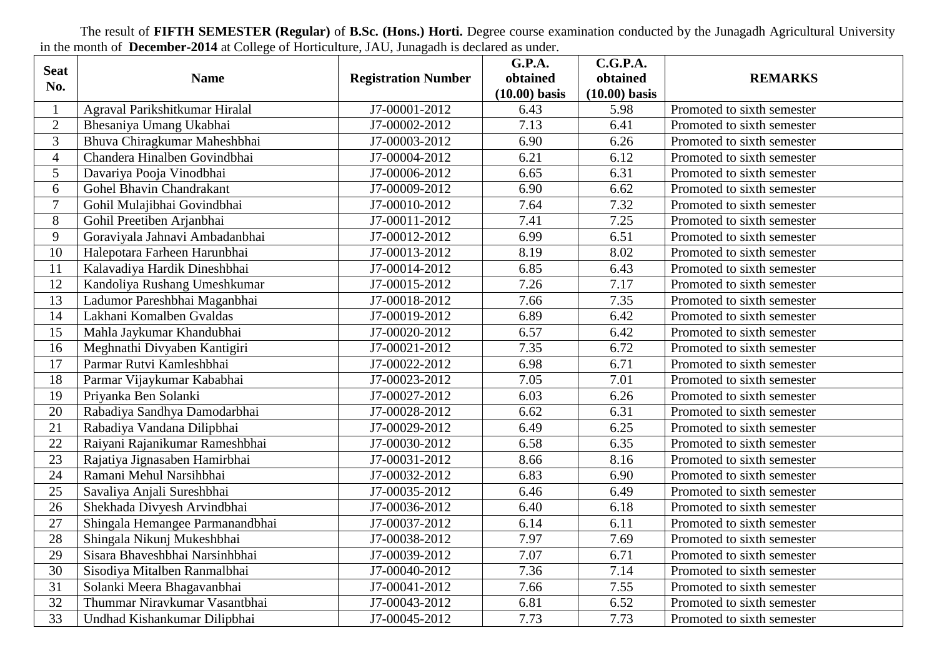The result of **FIFTH SEMESTER (Regular)** of **B.Sc. (Hons.) Horti.** Degree course examination conducted by the Junagadh Agricultural University in the month of **December-2014** at College of Horticulture, JAU, Junagadh is declared as under.

| <b>Seat</b>     |                                 |                            | G.P.A.          | C.G.P.A.        |                            |
|-----------------|---------------------------------|----------------------------|-----------------|-----------------|----------------------------|
| No.             | <b>Name</b>                     | <b>Registration Number</b> | obtained        | obtained        | <b>REMARKS</b>             |
|                 |                                 |                            | $(10.00)$ basis | $(10.00)$ basis |                            |
|                 | Agraval Parikshitkumar Hiralal  | J7-00001-2012              | 6.43            | 5.98            | Promoted to sixth semester |
| $\overline{2}$  | Bhesaniya Umang Ukabhai         | J7-00002-2012              | 7.13            | 6.41            | Promoted to sixth semester |
| 3               | Bhuva Chiragkumar Maheshbhai    | J7-00003-2012              | 6.90            | 6.26            | Promoted to sixth semester |
| $\overline{4}$  | Chandera Hinalben Govindbhai    | J7-00004-2012              | 6.21            | 6.12            | Promoted to sixth semester |
| 5               | Davariya Pooja Vinodbhai        | J7-00006-2012              | 6.65            | 6.31            | Promoted to sixth semester |
| 6               | Gohel Bhavin Chandrakant        | J7-00009-2012              | 6.90            | 6.62            | Promoted to sixth semester |
| $\overline{7}$  | Gohil Mulajibhai Govindbhai     | J7-00010-2012              | 7.64            | 7.32            | Promoted to sixth semester |
| 8               | Gohil Preetiben Arjanbhai       | J7-00011-2012              | 7.41            | 7.25            | Promoted to sixth semester |
| 9               | Goraviyala Jahnavi Ambadanbhai  | J7-00012-2012              | 6.99            | 6.51            | Promoted to sixth semester |
| 10              | Halepotara Farheen Harunbhai    | J7-00013-2012              | 8.19            | 8.02            | Promoted to sixth semester |
| 11              | Kalavadiya Hardik Dineshbhai    | J7-00014-2012              | 6.85            | 6.43            | Promoted to sixth semester |
| 12              | Kandoliya Rushang Umeshkumar    | J7-00015-2012              | 7.26            | 7.17            | Promoted to sixth semester |
| 13              | Ladumor Pareshbhai Maganbhai    | J7-00018-2012              | 7.66            | 7.35            | Promoted to sixth semester |
| 14              | Lakhani Komalben Gvaldas        | J7-00019-2012              | 6.89            | 6.42            | Promoted to sixth semester |
| 15              | Mahla Jaykumar Khandubhai       | J7-00020-2012              | 6.57            | 6.42            | Promoted to sixth semester |
| 16              | Meghnathi Divyaben Kantigiri    | J7-00021-2012              | 7.35            | 6.72            | Promoted to sixth semester |
| $\overline{17}$ | Parmar Rutvi Kamleshbhai        | J7-00022-2012              | 6.98            | 6.71            | Promoted to sixth semester |
| 18              | Parmar Vijaykumar Kababhai      | J7-00023-2012              | 7.05            | 7.01            | Promoted to sixth semester |
| 19              | Priyanka Ben Solanki            | J7-00027-2012              | 6.03            | 6.26            | Promoted to sixth semester |
| 20              | Rabadiya Sandhya Damodarbhai    | J7-00028-2012              | 6.62            | 6.31            | Promoted to sixth semester |
| 21              | Rabadiya Vandana Dilipbhai      | J7-00029-2012              | 6.49            | 6.25            | Promoted to sixth semester |
| $\overline{22}$ | Raiyani Rajanikumar Rameshbhai  | J7-00030-2012              | 6.58            | 6.35            | Promoted to sixth semester |
| $\overline{23}$ | Rajatiya Jignasaben Hamirbhai   | J7-00031-2012              | 8.66            | 8.16            | Promoted to sixth semester |
| 24              | Ramani Mehul Narsihbhai         | J7-00032-2012              | 6.83            | 6.90            | Promoted to sixth semester |
| 25              | Savaliya Anjali Sureshbhai      | J7-00035-2012              | 6.46            | 6.49            | Promoted to sixth semester |
| 26              | Shekhada Divyesh Arvindbhai     | J7-00036-2012              | 6.40            | 6.18            | Promoted to sixth semester |
| 27              | Shingala Hemangee Parmanandbhai | J7-00037-2012              | 6.14            | 6.11            | Promoted to sixth semester |
| 28              | Shingala Nikunj Mukeshbhai      | J7-00038-2012              | 7.97            | 7.69            | Promoted to sixth semester |
| 29              | Sisara Bhaveshbhai Narsinhbhai  | J7-00039-2012              | 7.07            | 6.71            | Promoted to sixth semester |
| 30              | Sisodiya Mitalben Ranmalbhai    | J7-00040-2012              | 7.36            | 7.14            | Promoted to sixth semester |
| $\overline{31}$ | Solanki Meera Bhagavanbhai      | J7-00041-2012              | 7.66            | 7.55            | Promoted to sixth semester |
| 32              | Thummar Niravkumar Vasantbhai   | J7-00043-2012              | 6.81            | 6.52            | Promoted to sixth semester |
| 33              | Undhad Kishankumar Dilipbhai    | J7-00045-2012              | 7.73            | 7.73            | Promoted to sixth semester |